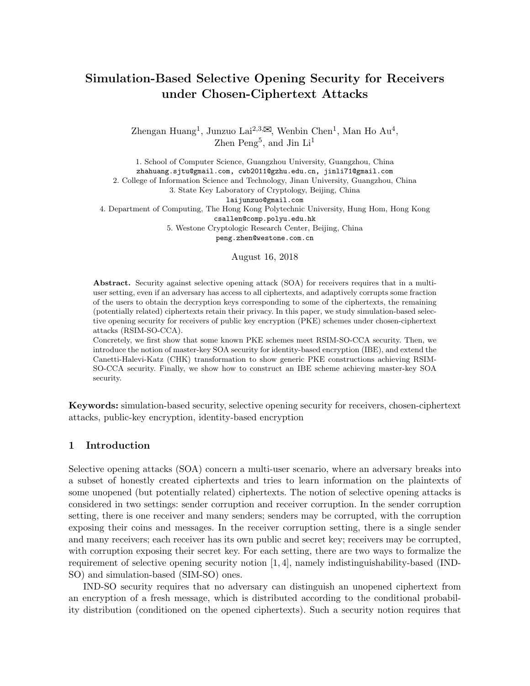# Simulation-Based Selective Opening Security for Receivers under Chosen-Ciphertext Attacks

Zhengan Huang<sup>1</sup>, Junzuo Lai<sup>2,3,</sup> $\boxtimes$ , Wenbin Chen<sup>1</sup>, Man Ho Au<sup>4</sup>, Zhen  $Peng<sup>5</sup>$ , and Jin  $Li<sup>1</sup>$ 

1. School of Computer Science, Guangzhou University, Guangzhou, China zhahuang.sjtu@gmail.com, cwb2011@gzhu.edu.cn, jinli71@gmail.com 2. College of Information Science and Technology, Jinan University, Guangzhou, China 3. State Key Laboratory of Cryptology, Beijing, China laijunzuo@gmail.com 4. Department of Computing, The Hong Kong Polytechnic University, Hung Hom, Hong Kong

csallen@comp.polyu.edu.hk

5. Westone Cryptologic Research Center, Beijing, China

peng.zhen@westone.com.cn

August 16, 2018

Abstract. Security against selective opening attack (SOA) for receivers requires that in a multiuser setting, even if an adversary has access to all ciphertexts, and adaptively corrupts some fraction of the users to obtain the decryption keys corresponding to some of the ciphertexts, the remaining (potentially related) ciphertexts retain their privacy. In this paper, we study simulation-based selective opening security for receivers of public key encryption (PKE) schemes under chosen-ciphertext attacks (RSIM-SO-CCA).

Concretely, we first show that some known PKE schemes meet RSIM-SO-CCA security. Then, we introduce the notion of master-key SOA security for identity-based encryption (IBE), and extend the Canetti-Halevi-Katz (CHK) transformation to show generic PKE constructions achieving RSIM-SO-CCA security. Finally, we show how to construct an IBE scheme achieving master-key SOA security.

Keywords: simulation-based security, selective opening security for receivers, chosen-ciphertext attacks, public-key encryption, identity-based encryption

# 1 Introduction

Selective opening attacks (SOA) concern a multi-user scenario, where an adversary breaks into a subset of honestly created ciphertexts and tries to learn information on the plaintexts of some unopened (but potentially related) ciphertexts. The notion of selective opening attacks is considered in two settings: sender corruption and receiver corruption. In the sender corruption setting, there is one receiver and many senders; senders may be corrupted, with the corruption exposing their coins and messages. In the receiver corruption setting, there is a single sender and many receivers; each receiver has its own public and secret key; receivers may be corrupted, with corruption exposing their secret key. For each setting, there are two ways to formalize the requirement of selective opening security notion  $[1, 4]$ , namely indistinguishability-based (IND-SO) and simulation-based (SIM-SO) ones.

IND-SO security requires that no adversary can distinguish an unopened ciphertext from an encryption of a fresh message, which is distributed according to the conditional probability distribution (conditioned on the opened ciphertexts). Such a security notion requires that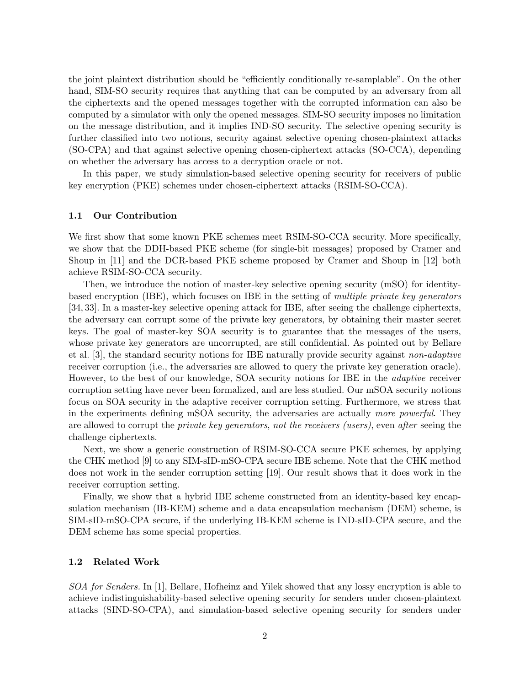the joint plaintext distribution should be "efficiently conditionally re-samplable". On the other hand, SIM-SO security requires that anything that can be computed by an adversary from all the ciphertexts and the opened messages together with the corrupted information can also be computed by a simulator with only the opened messages. SIM-SO security imposes no limitation on the message distribution, and it implies IND-SO security. The selective opening security is further classified into two notions, security against selective opening chosen-plaintext attacks (SO-CPA) and that against selective opening chosen-ciphertext attacks (SO-CCA), depending on whether the adversary has access to a decryption oracle or not.

In this paper, we study simulation-based selective opening security for receivers of public key encryption (PKE) schemes under chosen-ciphertext attacks (RSIM-SO-CCA).

#### 1.1 Our Contribution

We first show that some known PKE schemes meet RSIM-SO-CCA security. More specifically, we show that the DDH-based PKE scheme (for single-bit messages) proposed by Cramer and Shoup in [11] and the DCR-based PKE scheme proposed by Cramer and Shoup in [12] both achieve RSIM-SO-CCA security.

Then, we introduce the notion of master-key selective opening security (mSO) for identitybased encryption (IBE), which focuses on IBE in the setting of multiple private key generators [34, 33]. In a master-key selective opening attack for IBE, after seeing the challenge ciphertexts, the adversary can corrupt some of the private key generators, by obtaining their master secret keys. The goal of master-key SOA security is to guarantee that the messages of the users, whose private key generators are uncorrupted, are still confidential. As pointed out by Bellare et al. [3], the standard security notions for IBE naturally provide security against non-adaptive receiver corruption (i.e., the adversaries are allowed to query the private key generation oracle). However, to the best of our knowledge, SOA security notions for IBE in the adaptive receiver corruption setting have never been formalized, and are less studied. Our mSOA security notions focus on SOA security in the adaptive receiver corruption setting. Furthermore, we stress that in the experiments defining mSOA security, the adversaries are actually more powerful. They are allowed to corrupt the *private key generators, not the receivers (users)*, even *after seeing the* challenge ciphertexts.

Next, we show a generic construction of RSIM-SO-CCA secure PKE schemes, by applying the CHK method [9] to any SIM-sID-mSO-CPA secure IBE scheme. Note that the CHK method does not work in the sender corruption setting [19]. Our result shows that it does work in the receiver corruption setting.

Finally, we show that a hybrid IBE scheme constructed from an identity-based key encapsulation mechanism (IB-KEM) scheme and a data encapsulation mechanism (DEM) scheme, is SIM-sID-mSO-CPA secure, if the underlying IB-KEM scheme is IND-sID-CPA secure, and the DEM scheme has some special properties.

## 1.2 Related Work

SOA for Senders. In [1], Bellare, Hofheinz and Yilek showed that any lossy encryption is able to achieve indistinguishability-based selective opening security for senders under chosen-plaintext attacks (SIND-SO-CPA), and simulation-based selective opening security for senders under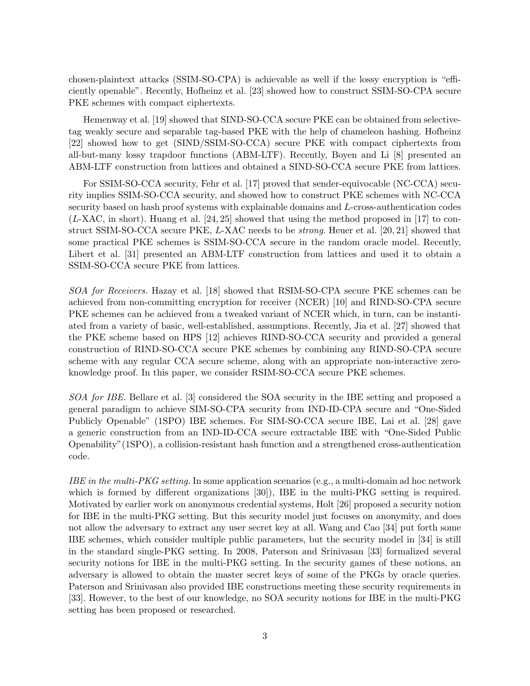chosen-plaintext attacks (SSIM-SO-CPA) is achievable as well if the lossy encryption is "efficiently openable". Recently, Hofheinz et al. [23] showed how to construct SSIM-SO-CPA secure PKE schemes with compact ciphertexts.

Hemenway et al. [19] showed that SIND-SO-CCA secure PKE can be obtained from selectivetag weakly secure and separable tag-based PKE with the help of chameleon hashing. Hofheinz [22] showed how to get (SIND/SSIM-SO-CCA) secure PKE with compact ciphertexts from all-but-many lossy trapdoor functions (ABM-LTF). Recently, Boyen and Li [8] presented an ABM-LTF construction from lattices and obtained a SIND-SO-CCA secure PKE from lattices.

For SSIM-SO-CCA security, Fehr et al. [17] proved that sender-equivocable (NC-CCA) security implies SSIM-SO-CCA security, and showed how to construct PKE schemes with NC-CCA security based on hash proof systems with explainable domains and L-cross-authentication codes  $(L-XAC,$  in short). Huang et al. [24, 25] showed that using the method proposed in [17] to construct SSIM-SO-CCA secure PKE, L-XAC needs to be strong. Heuer et al. [20, 21] showed that some practical PKE schemes is SSIM-SO-CCA secure in the random oracle model. Recently, Libert et al. [31] presented an ABM-LTF construction from lattices and used it to obtain a SSIM-SO-CCA secure PKE from lattices.

SOA for Receivers. Hazay et al. [18] showed that RSIM-SO-CPA secure PKE schemes can be achieved from non-committing encryption for receiver (NCER) [10] and RIND-SO-CPA secure PKE schemes can be achieved from a tweaked variant of NCER which, in turn, can be instantiated from a variety of basic, well-established, assumptions. Recently, Jia et al. [27] showed that the PKE scheme based on HPS [12] achieves RIND-SO-CCA security and provided a general construction of RIND-SO-CCA secure PKE schemes by combining any RIND-SO-CPA secure scheme with any regular CCA secure scheme, along with an appropriate non-interactive zeroknowledge proof. In this paper, we consider RSIM-SO-CCA secure PKE schemes.

SOA for IBE. Bellare et al. [3] considered the SOA security in the IBE setting and proposed a general paradigm to achieve SIM-SO-CPA security from IND-ID-CPA secure and "One-Sided Publicly Openable" (1SPO) IBE schemes. For SIM-SO-CCA secure IBE, Lai et al. [28] gave a generic construction from an IND-ID-CCA secure extractable IBE with "One-Sided Public Openability"(1SPO), a collision-resistant hash function and a strengthened cross-authentication code.

IBE in the multi-PKG setting. In some application scenarios (e.g., a multi-domain ad hoc network which is formed by different organizations [30]), IBE in the multi-PKG setting is required. Motivated by earlier work on anonymous credential systems, Holt [26] proposed a security notion for IBE in the multi-PKG setting. But this security model just focuses on anonymity, and does not allow the adversary to extract any user secret key at all. Wang and Cao [34] put forth some IBE schemes, which consider multiple public parameters, but the security model in [34] is still in the standard single-PKG setting. In 2008, Paterson and Srinivasan [33] formalized several security notions for IBE in the multi-PKG setting. In the security games of these notions, an adversary is allowed to obtain the master secret keys of some of the PKGs by oracle queries. Paterson and Srinivasan also provided IBE constructions meeting these security requirements in [33]. However, to the best of our knowledge, no SOA security notions for IBE in the multi-PKG setting has been proposed or researched.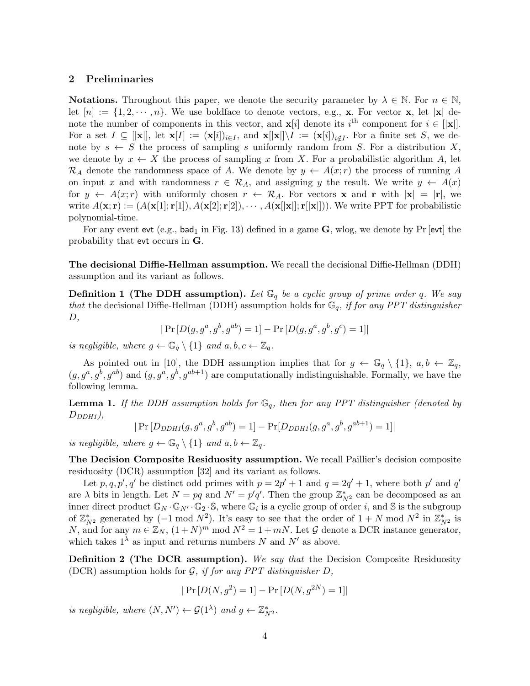# 2 Preliminaries

**Notations.** Throughout this paper, we denote the security parameter by  $\lambda \in \mathbb{N}$ . For  $n \in \mathbb{N}$ , let  $[n] := \{1, 2, \dots, n\}$ . We use boldface to denote vectors, e.g., x. For vector x, let  $|x|$  denote the number of components in this vector, and  $\mathbf{x}[i]$  denote its  $i^{\text{th}}$  component for  $i \in [|\mathbf{x}|]$ . For a set  $I \subseteq [[\mathbf{x}]]$ , let  $\mathbf{x}[I] := (\mathbf{x}[i])_{i \in I}$ , and  $\mathbf{x}[[\mathbf{x}] \setminus I := (\mathbf{x}[i])_{i \notin I}$ . For a finite set S, we denote by  $s \leftarrow S$  the process of sampling s uniformly random from S. For a distribution X, we denote by  $x \leftarrow X$  the process of sampling x from X. For a probabilistic algorithm A, let  $\mathcal{R}_A$  denote the randomness space of A. We denote by  $y \leftarrow A(x; r)$  the process of running A on input x and with randomness  $r \in \mathcal{R}_A$ , and assigning y the result. We write  $y \leftarrow A(x)$ for  $y \leftarrow A(x; r)$  with uniformly chosen  $r \leftarrow \mathcal{R}_A$ . For vectors **x** and **r** with  $|\mathbf{x}| = |\mathbf{r}|$ , we write  $A(\mathbf{x}; \mathbf{r}) := (A(\mathbf{x}[1]; \mathbf{r}[1]), A(\mathbf{x}[2]; \mathbf{r}[2]), \cdots, A(\mathbf{x}[[\mathbf{x}]]; \mathbf{r}[[\mathbf{x}]]))$ . We write PPT for probabilistic polynomial-time.

For any event evt (e.g., bad<sub>1</sub> in Fig. 13) defined in a game  $\bf{G}$ , wlog, we denote by Pr [evt] the probability that evt occurs in G.

The decisional Diffie-Hellman assumption. We recall the decisional Diffie-Hellman (DDH) assumption and its variant as follows.

**Definition 1 (The DDH assumption).** Let  $\mathbb{G}_q$  be a cyclic group of prime order q. We say that the decisional Diffie-Hellman (DDH) assumption holds for  $\mathbb{G}_q$ , if for any PPT distinguisher D,

$$
|\Pr\left[D(g, g^a, g^b, g^{ab}) = 1\right] - \Pr\left[D(g, g^a, g^b, g^c) = 1\right]|
$$

is negligible, where  $g \leftarrow \mathbb{G}_q \setminus \{1\}$  and  $a, b, c \leftarrow \mathbb{Z}_q$ .

As pointed out in [10], the DDH assumption implies that for  $g \leftarrow \mathbb{G}_q \setminus \{1\}$ ,  $a, b \leftarrow \mathbb{Z}_q$ ,  $(g, g^a, g^b, g^{ab})$  and  $(g, g^a, g^b, g^{ab+1})$  are computationally indistinguishable. Formally, we have the following lemma.

**Lemma 1.** If the DDH assumption holds for  $\mathbb{G}_q$ , then for any PPT distinguisher (denoted by  $D_{DDH1}$ ),

$$
|\Pr[D_{DDH1}(g, g^a, g^b, g^{ab}) = 1] - \Pr[D_{DDH1}(g, g^a, g^b, g^{ab+1}) = 1]|
$$

is negligible, where  $g \leftarrow \mathbb{G}_q \setminus \{1\}$  and  $a, b \leftarrow \mathbb{Z}_q$ .

The Decision Composite Residuosity assumption. We recall Paillier's decision composite residuosity (DCR) assumption [32] and its variant as follows.

Let p, q, p', q' be distinct odd primes with  $p = 2p' + 1$  and  $q = 2q' + 1$ , where both p' and q' are  $\lambda$  bits in length. Let  $N = pq$  and  $N' = p'q'$ . Then the group  $\mathbb{Z}_{N^2}^*$  can be decomposed as an inner direct product  $\mathbb{G}_N \cdot \mathbb{G}_{N'} \cdot \mathbb{G}_2 \cdot \mathbb{S}$ , where  $\mathbb{G}_i$  is a cyclic group of order i, and S is the subgroup of  $\mathbb{Z}_{N^2}^*$  generated by  $(-1 \mod N^2)$ . It's easy to see that the order of  $1 + N \mod N^2$  in  $\mathbb{Z}_{N^2}^*$  is N, and for any  $m \in \mathbb{Z}_N$ ,  $(1+N)^m$  mod  $N^2 = 1 + mN$ . Let G denote a DCR instance generator, which takes  $1^{\lambda}$  as input and returns numbers N and N' as above.

**Definition 2 (The DCR assumption).** We say that the Decision Composite Residuosity (DCR) assumption holds for  $G$ , if for any PPT distinguisher  $D$ ,

$$
|\Pr\left[D(N, g^2) = 1\right] - \Pr\left[D(N, g^{2N}) = 1\right]|
$$

is negligible, where  $(N, N') \leftarrow \mathcal{G}(1^{\lambda})$  and  $g \leftarrow \mathbb{Z}_{N^2}^*$ .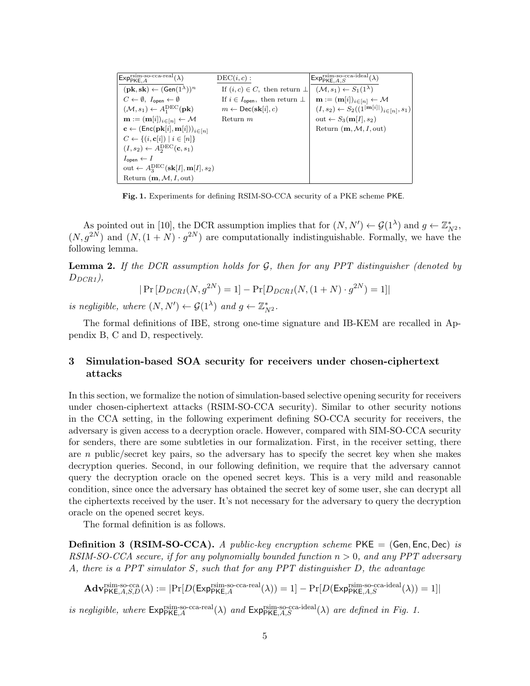| $\big  \mathsf{Exp}_{\mathsf{PKE},A}^{\text{rsim-so-cca-real}}(\lambda)$          | $DEC(i, c)$ :                                    | $\mathsf{Exp}_{\mathsf{PKE},A,S}^{\text{rsim-so-cca-ideal}}(\lambda)$ |
|-----------------------------------------------------------------------------------|--------------------------------------------------|-----------------------------------------------------------------------|
| $(\mathbf{pk}, \mathbf{sk}) \leftarrow (\mathsf{Gen}(1^{\lambda}))^n$             | If $(i, c) \in C$ , then return $\perp$          | $(\mathcal{M}, s_1) \leftarrow S_1(1^{\lambda})$                      |
| $C \leftarrow \emptyset$ , $I_{\text{open}} \leftarrow \emptyset$                 | If $i \in I_{\text{open}}$ , then return $\perp$ | $\mathbf{m} := (\mathbf{m}[i])_{i \in [n]} \leftarrow \mathcal{M}$    |
| $(\mathcal{M}, s_1) \leftarrow A_1^{\text{DEC}}(\textbf{pk})$                     | $m \leftarrow \text{Dec}(\textbf{sk}[i], c)$     | $(I, s_2) \leftarrow S_2((1^{ m[i] })_{i \in [n]}, s_1)$              |
| $\mathbf{m} := (\mathbf{m}[i])_{i \in [n]} \leftarrow \mathcal{M}$                | Return $m$                                       | out $\leftarrow S_3(\textbf{m}[I], s_2)$                              |
| $\mathbf{c} \leftarrow (\mathsf{Enc}(\mathbf{pk}[i], \mathbf{m}[i]))_{i \in [n]}$ |                                                  | Return $(m, \mathcal{M}, I, \text{out})$                              |
| $C \leftarrow \{(i, \mathbf{c}[i]) \mid i \in [n]\}\$                             |                                                  |                                                                       |
| $(I, s_2) \leftarrow A_2^{\text{DEC}}(\mathbf{c}, s_1)$                           |                                                  |                                                                       |
| $I_{\text{open}} \leftarrow I$                                                    |                                                  |                                                                       |
| out $\leftarrow A_3^{\text{DEC}}(\textbf{sk}[I], \textbf{m}[I], s_2)$             |                                                  |                                                                       |
| Return $(m, \mathcal{M}, I, \text{out})$                                          |                                                  |                                                                       |

Fig. 1. Experiments for defining RSIM-SO-CCA security of a PKE scheme PKE.

As pointed out in [10], the DCR assumption implies that for  $(N, N') \leftarrow \mathcal{G}(1^{\lambda})$  and  $g \leftarrow \mathbb{Z}_{N^2}^*$ ,  $(N, g^{2N})$  and  $(N, (1+N) \cdot g^{2N})$  are computationally indistinguishable. Formally, we have the following lemma.

**Lemma 2.** If the DCR assumption holds for  $G$ , then for any PPT distinguisher (denoted by  $D_{DCR1}$ ),

$$
|\Pr[D_{DCR1}(N, g^{2N}) = 1] - \Pr[D_{DCR1}(N, (1+N) \cdot g^{2N}) = 1]|
$$

is negligible, where  $(N, N') \leftarrow \mathcal{G}(1^{\lambda})$  and  $g \leftarrow \mathbb{Z}_{N^2}^*$ .

The formal definitions of IBE, strong one-time signature and IB-KEM are recalled in Appendix B, C and D, respectively.

# 3 Simulation-based SOA security for receivers under chosen-ciphertext attacks

In this section, we formalize the notion of simulation-based selective opening security for receivers under chosen-ciphertext attacks (RSIM-SO-CCA security). Similar to other security notions in the CCA setting, in the following experiment defining SO-CCA security for receivers, the adversary is given access to a decryption oracle. However, compared with SIM-SO-CCA security for senders, there are some subtleties in our formalization. First, in the receiver setting, there are  $n$  public/secret key pairs, so the adversary has to specify the secret key when she makes decryption queries. Second, in our following definition, we require that the adversary cannot query the decryption oracle on the opened secret keys. This is a very mild and reasonable condition, since once the adversary has obtained the secret key of some user, she can decrypt all the ciphertexts received by the user. It's not necessary for the adversary to query the decryption oracle on the opened secret keys.

The formal definition is as follows.

**Definition 3 (RSIM-SO-CCA).** A public-key encryption scheme  $PKE = (Gen, Enc, Dec)$  is RSIM-SO-CCA secure, if for any polynomially bounded function  $n > 0$ , and any PPT adversary A, there is a PPT simulator  $S$ , such that for any PPT distinguisher  $D$ , the advantage

$$
\mathbf{Adv}_{\mathsf{PKE},A,S,D}^{\text{rsim-so-cca}}(\lambda) := |\mathrm{Pr}[D(\mathsf{Exp}_{\mathsf{PKE},A}^{\text{rsim-so-cca-real}}(\lambda)) = 1] - \mathrm{Pr}[D(\mathsf{Exp}_{\mathsf{PKE},A,S}^{\text{rsim-so-cca-ideal}}(\lambda)) = 1]|
$$

is negligible, where  $\mathsf{Exp}_{\mathsf{PKE},A}^{\text{rsim-so-cca-real}}(\lambda)$  and  $\mathsf{Exp}_{\mathsf{PKE},A,S}^{\text{rsim-so-cca-ideal}}(\lambda)$  are defined in Fig. 1.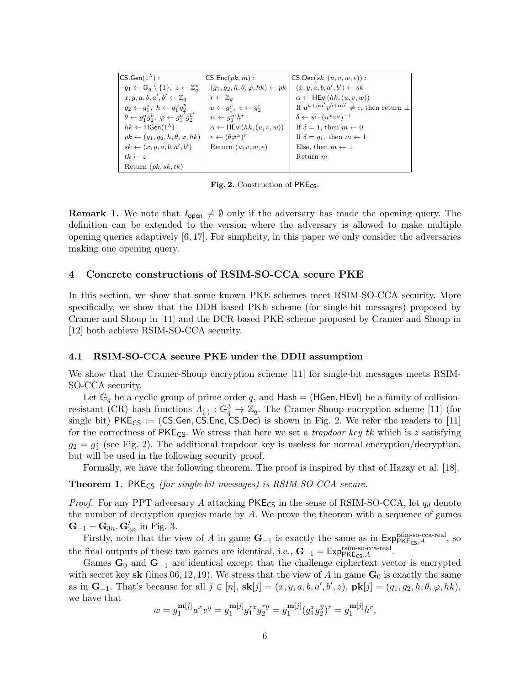| $\vert$ CS.Gen $(1^{\lambda})$ :                                           | $CS\text{Enc}(pk, m)$ :                            | $CS\cdot Dec(sk, (u, v, w, e))$ :                                |
|----------------------------------------------------------------------------|----------------------------------------------------|------------------------------------------------------------------|
| $g_1 \leftarrow \mathbb{G}_q \setminus \{1\}, z \leftarrow \mathbb{Z}_q^*$ | $(q_1, q_2, h, \theta, \varphi, hk) \leftarrow pk$ | $(x, y, a, b, a', b') \leftarrow sk$                             |
| $x, y, a, b, a', b' \leftarrow \mathbb{Z}_q$                               | $r \leftarrow \mathbb{Z}_q$                        | $\alpha \leftarrow \mathsf{HEvl}(hk, (u, v, w))$                 |
| $g_2 \leftarrow g_1^z, h \leftarrow g_1^x g_2^y$                           | $u \leftarrow g_1^r, v \leftarrow g_2^r$           | If $u^{a+\alpha a'}v^{b+\alpha b'} \neq e$ , then return $\perp$ |
| $\theta \leftarrow g_1^a g_2^b, \ \varphi \leftarrow g_1^{a'} g_2^{b'}$    | $w \leftarrow q_1^m h^r$                           | $\delta \leftarrow w \cdot (u^x v^y)^{-1}$                       |
| $hk \leftarrow \mathsf{HGen}(1^{\lambda})$                                 | $\alpha \leftarrow \text{HEvl}(hk, (u, v, w))$     | If $\delta = 1$ , then $m \leftarrow 0$                          |
| $pk \leftarrow (q_1, q_2, h, \theta, \varphi, hk)$                         | $e \leftarrow (\theta \varphi^{\alpha})^r$         | If $\delta = q_1$ , then $m \leftarrow 1$                        |
| $sk \leftarrow (x, y, a, b, a', b')$                                       | Return $(u, v, w, e)$                              | Else, then $m \leftarrow \perp$                                  |
| $tk \leftarrow z$                                                          |                                                    | Return $m$                                                       |
| Return $(pk, sk, tk)$                                                      |                                                    |                                                                  |

Fig. 2. Construction of PKE<sub>CS</sub>.

**Remark 1.** We note that  $I_{open} \neq \emptyset$  only if the adversary has made the opening query. The definition can be extended to the version where the adversary is allowed to make multiple opening queries adaptively  $[6, 17]$ . For simplicity, in this paper we only consider the adversaries making one opening query.

# 4 Concrete constructions of RSIM-SO-CCA secure PKE

In this section, we show that some known PKE schemes meet RSIM-SO-CCA security. More specifically, we show that the DDH-based PKE scheme (for single-bit messages) proposed by Cramer and Shoup in [11] and the DCR-based PKE scheme proposed by Cramer and Shoup in [12] both achieve RSIM-SO-CCA security.

# 4.1 RSIM-SO-CCA secure PKE under the DDH assumption

We show that the Cramer-Shoup encryption scheme [11] for single-bit messages meets RSIM-SO-CCA security.

Let  $\mathbb{G}_q$  be a cyclic group of prime order q, and  $\mathsf{Hash} = (\mathsf{HGen}, \mathsf{HEvl})$  be a family of collisionresistant (CR) hash functions  $\Lambda_{(\cdot)} : \mathbb{G}_q^3 \to \mathbb{Z}_q$ . The Cramer-Shoup encryption scheme [11] (for single bit) PKE<sub>CS</sub> := (CS.Gen, CS.Enc, CS.Dec) is shown in Fig. 2. We refer the readers to [11] for the correctness of  $PKE_{CS}$ . We stress that here we set a *trapdoor key tk* which is z satisfying  $g_2 = g_1^z$  (see Fig. 2). The additional trapdoor key is useless for normal encryption/decryption, but will be used in the following security proof.

Formally, we have the following theorem. The proof is inspired by that of Hazay et al. [18].

**Theorem 1.** PKE<sub>CS</sub> (for single-bit messages) is RSIM-SO-CCA secure.

*Proof.* For any PPT adversary A attacking  $PKE_{CS}$  in the sense of RSIM-SO-CCA, let  $q_d$  denote the number of decryption queries made by  $A$ . We prove the theorem with a sequence of games  **in Fig. 3.** 

Firstly, note that the view of A in game  $\mathbf{G}_{-1}$  is exactly the same as in  $\mathsf{Exp}_{\mathsf{PKE}_{\mathsf{CS}},A}^{\text{rsim-so-cca-real}}$ , so the final outputs of these two games are identical, i.e.,  $\mathbf{G}_{-1} = \mathsf{Exp}_{\mathsf{PKE}_{\mathsf{CS}},A}^{\text{rsim-so-cca-real}}$ .

Games  $\mathbf{G}_0$  and  $\mathbf{G}_{-1}$  are identical except that the challenge ciphertext vector is encrypted with secret key sk (lines 06, 12, 19). We stress that the view of A in game  $\mathbf{G}_0$  is exactly the same as in  $\mathbf{G}_{-1}$ . That's because for all  $j \in [n]$ ,  $\mathbf{sk}[j] = (x, y, a, b, a', b', z)$ ,  $\mathbf{pk}[j] = (g_1, g_2, h, \theta, \varphi, hk)$ , we have that

$$
w = g_1^{\mathbf{m}[j]} u^x v^y = g_1^{\mathbf{m}[j]} g_1^x g_2^{ry} = g_1^{\mathbf{m}[j]} (g_1^x g_2^y)^r = g_1^{\mathbf{m}[j]} h^r,
$$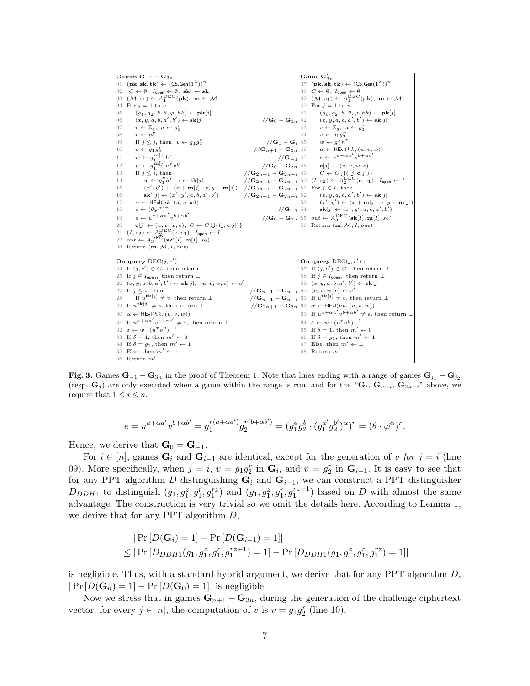| Games $G_{-1} - G_{3n}$                                                                                                                       | Game $G'_{3n}$                                                                                                                                                                                                                                                                                                                                                                                                                                   |
|-----------------------------------------------------------------------------------------------------------------------------------------------|--------------------------------------------------------------------------------------------------------------------------------------------------------------------------------------------------------------------------------------------------------------------------------------------------------------------------------------------------------------------------------------------------------------------------------------------------|
| 01 (pk, sk, tk) $\leftarrow$ (CS.Gen(1 <sup><math>\lambda</math></sup> )) <sup>n</sup>                                                        | 37 (pk, sk, tk) $\leftarrow$ (CS.Gen $(1^{\lambda})^n$                                                                                                                                                                                                                                                                                                                                                                                           |
| 02 $C \leftarrow \emptyset$ , $I_{\text{open}} \leftarrow \emptyset$ , $s\mathbf{k}' \leftarrow s\mathbf{k}$                                  | 38 $C \leftarrow \emptyset$ , $I_{open} \leftarrow \emptyset$                                                                                                                                                                                                                                                                                                                                                                                    |
| $(\mathcal{M}, s_1) \leftarrow A_1^{\text{DEC}}(\textbf{pk}), \ \mathbf{m} \leftarrow \mathcal{M}$<br>03                                      | 39 $(\mathcal{M}, s_1) \leftarrow A_1^{\text{DEC}}(\textbf{pk}), \ \mathbf{m} \leftarrow \mathcal{M}$                                                                                                                                                                                                                                                                                                                                            |
| 04 For $j = 1$ to n                                                                                                                           | 40 For $i = 1$ to n                                                                                                                                                                                                                                                                                                                                                                                                                              |
| $(g_1, g_2, h, \theta, \varphi, hk) \leftarrow \mathbf{pk}[j]$<br>05                                                                          | $(g_1, g_2, h, \theta, \varphi, hk) \leftarrow \mathbf{pk}[j]$<br>41                                                                                                                                                                                                                                                                                                                                                                             |
| $(x, y, a, b, a', b') \leftarrow \mathbf{sk}[j]$<br>06                                                                                        |                                                                                                                                                                                                                                                                                                                                                                                                                                                  |
| 07<br>$r \leftarrow \mathbb{Z}_q, u \leftarrow g_1^r$                                                                                         |                                                                                                                                                                                                                                                                                                                                                                                                                                                  |
| $v \leftarrow g_2^r$<br>08                                                                                                                    |                                                                                                                                                                                                                                                                                                                                                                                                                                                  |
| If $j \leq i$ , then $v \leftarrow g_1 g_2^r$<br>09                                                                                           |                                                                                                                                                                                                                                                                                                                                                                                                                                                  |
| $v \leftarrow g_1 g_2^r$<br>10                                                                                                                | $\begin{array}{c} // \mathbf{G}_0 - \mathbf{G}_{3n} \begin{bmatrix} 42 & (x,y,a,b,a',b') \leftarrow \mathbf{sk}[j] \\ 43 & r \leftarrow \mathbb{Z}_q, u \leftarrow g_1^T \end{bmatrix} \\ & & \\ 44 & v \leftarrow g_1 g_2^T \\ & & \\ \end{bmatrix} \\ // \mathbf{G}_1 - \mathbf{G}_i \begin{bmatrix} 45 & w \leftarrow g_1^u h^r \\ 45 & w \leftarrow g_1^u h^r \\ & & \\ \alpha \leftarrow \text{HEV}(hk, (u,v,w)) \end{bmatrix} \end{array}$ |
| $w \leftarrow g_1^{\mathbf{m}\tilde{[}j\right]}h^r$<br>11                                                                                     | $\sqrt{G_{-1}}$ 47 $e \leftarrow u^{a + \alpha a' v^{b + \alpha b'}}$                                                                                                                                                                                                                                                                                                                                                                            |
| $w \leftarrow g_1^{\text{in}[j]} u^x v^y$<br>12                                                                                               | $/(G_0 - G_{3n})$ 48 c[j] $\leftarrow (u, v, w, e)$<br>$/(G_{2n+1} - G_{2n+i})$ 49 $C \leftarrow C \bigcup \{ (j, \mathbf{c}[j]) \}$                                                                                                                                                                                                                                                                                                             |
| 13<br>If $j \leq i$ , then                                                                                                                    |                                                                                                                                                                                                                                                                                                                                                                                                                                                  |
| $w \leftarrow q_i^y h^r, z \leftarrow \mathbf{tk}[i]$<br>14                                                                                   | $/(G_{2n+1} - G_{2n+i})$ 50 $(I, s_2) \leftarrow A_2^{\text{DEC}}(c, s_1), I_{\text{open}} \leftarrow I$                                                                                                                                                                                                                                                                                                                                         |
| $(x', y') \leftarrow (x + \mathbf{m}[j] \cdot z, y - \mathbf{m}[j])$ // $\mathbf{G}_{2n+1} - \mathbf{G}_{2n+i}$ 51 For $j \in I$ , then<br>15 |                                                                                                                                                                                                                                                                                                                                                                                                                                                  |
| $\mathbf{sk}'[i] \leftarrow (x', y', a, b, a', b')$<br>16                                                                                     | $//\mathbf{G}_{2n+1}-\mathbf{G}_{2n+i} 52$ $(x, y, a, b, a', b') \leftarrow \mathbf{sk}[j]$                                                                                                                                                                                                                                                                                                                                                      |
| 17<br>$\alpha \leftarrow \text{HEvl}(hk, (u, v, w))$                                                                                          | 53 $(x', y') \leftarrow (x + m[j] \cdot z, y - m[j])$                                                                                                                                                                                                                                                                                                                                                                                            |
| $e \leftarrow (\theta \varphi^{\alpha})^r$<br>18                                                                                              | $//\mathbf{G}_{-1}$  54 $\mathbf{sk}[j] \leftarrow (x', y', a, b, a', b')$                                                                                                                                                                                                                                                                                                                                                                       |
| $e \leftarrow u^{a + \alpha a'} v^{b + \alpha b'}$<br>19                                                                                      | $//\mathbf{G}_0 - \mathbf{G}_{3n}$ 55 out $\leftarrow A_3^{\text{DEC}}(\mathbf{sk}[I], \mathbf{m}[I], s_2)$                                                                                                                                                                                                                                                                                                                                      |
| $\mathbf{c}[j] \leftarrow (u, v, w, e), C \leftarrow C \cup \{(j, \mathbf{c}[j])\}$<br>20                                                     | 56 Return $(m, M, I, out)$                                                                                                                                                                                                                                                                                                                                                                                                                       |
| 21 $(I, s_2) \leftarrow A_2^{\text{DEC}}(\mathbf{c}, s_1), I_{\text{open}} \leftarrow I$                                                      |                                                                                                                                                                                                                                                                                                                                                                                                                                                  |
| 22 out $\leftarrow A_3^{\text{DEC}}(\textbf{sk}'[I], \textbf{m}[I], s_2)$                                                                     |                                                                                                                                                                                                                                                                                                                                                                                                                                                  |
| 23 Return $(m, \mathcal{M}, I, out)$                                                                                                          |                                                                                                                                                                                                                                                                                                                                                                                                                                                  |
|                                                                                                                                               |                                                                                                                                                                                                                                                                                                                                                                                                                                                  |
| On query $DEC(j, c')$ :                                                                                                                       | On query $DEC(j, c')$ :                                                                                                                                                                                                                                                                                                                                                                                                                          |
| 24 If $(j, c') \in C$ , then return $\perp$                                                                                                   | 57 If $(j, c') \in C$ , then return $\perp$                                                                                                                                                                                                                                                                                                                                                                                                      |
| 25 If $j \in I_{\text{open}}$ , then return $\perp$                                                                                           | 58 If $j \in I_{\text{open}}$ , then return $\perp$                                                                                                                                                                                                                                                                                                                                                                                              |
| 26 $(x, y, a, b, a', b') \leftarrow \mathbf{sk}[j], (u, v, w, e) \leftarrow c'$                                                               | 59 $(x, y, a, b, a', b') \leftarrow \mathbf{sk}[j]$                                                                                                                                                                                                                                                                                                                                                                                              |
| 27 If $j \leq i$ , then                                                                                                                       | $//\mathbf{G}_{n+1}-\mathbf{G}_{n+i} 60 \ (u,v,w,e) \leftarrow c'$                                                                                                                                                                                                                                                                                                                                                                               |
| If $u^{\mathbf{tk}[j]} \neq v$ , then return $\perp$<br>28                                                                                    | $//\mathbf{G}_{n+1}-\mathbf{G}_{n+i}\Big $ 61 If $u^{\mathbf{tk}[j]}\neq v$ , then return $\bot$                                                                                                                                                                                                                                                                                                                                                 |
| 29 If $u^{\mathbf{tk}[j]} \neq v$ , then return $\perp$                                                                                       | $//\mathbf{G}_{2n+1}-\mathbf{G}_{3n}\big 62\;\;\alpha\leftarrow \mathsf{HEvl}(hk,(u,v,w))$                                                                                                                                                                                                                                                                                                                                                       |
| 30 $\alpha \leftarrow \text{HEvl}(hk, (u, v, w))$                                                                                             | 63 If $u^{a+\alpha a'}v^{b+\alpha b'} \neq e$ , then return $\perp$                                                                                                                                                                                                                                                                                                                                                                              |
| 31 If $u^{a+\alpha a'}v^{b+\alpha b'}\neq e,$ then return $\bot$                                                                              | 64 $\delta \leftarrow w \cdot (u^x v^y)^{-1}$                                                                                                                                                                                                                                                                                                                                                                                                    |
| 32 $\delta \leftarrow w \cdot (u^x v^y)^{-1}$                                                                                                 | 65 If $\delta = 1$ , then $m' \leftarrow 0$                                                                                                                                                                                                                                                                                                                                                                                                      |
| 33 If $\delta = 1$ , then $m' \leftarrow 0$                                                                                                   | 66 If $\delta = g_1$ , then $m' \leftarrow 1$                                                                                                                                                                                                                                                                                                                                                                                                    |
| 34 If $\delta = g_1$ , then $m' \leftarrow 1$                                                                                                 | 67 Else, then $m' \leftarrow \perp$                                                                                                                                                                                                                                                                                                                                                                                                              |
| 35 Else, then $m' \leftarrow \perp$                                                                                                           | 68 Return $m'$                                                                                                                                                                                                                                                                                                                                                                                                                                   |
| 36 Return $m'$                                                                                                                                |                                                                                                                                                                                                                                                                                                                                                                                                                                                  |

Fig. 3. Games  $\mathbf{G}_{-1} - \mathbf{G}_{3n}$  in the proof of Theorem 1. Note that lines ending with a range of games  $\mathbf{G}_{j_1} - \mathbf{G}_{j_2}$ (resp.  $G_j$ ) are only executed when a game within the range is run, and for the " $G_i$ ,  $G_{n+i}$ ,  $G_{2n+i}$ " above, we require that  $1 \leq i \leq n$ .

$$
e = u^{a + \alpha a'} v^{b + \alpha b'} = g_1^{r(a + \alpha a')} g_2^{r(b + \alpha b')} = (g_1^a g_2^b \cdot (g_1^{a'} g_2^{b'})^{\alpha})^r = (\theta \cdot \varphi^{\alpha})^r.
$$

Hence, we derive that  $\mathbf{G}_0 = \mathbf{G}_{-1}$ .

For  $i \in [n]$ , games  $\mathbf{G}_i$  and  $\mathbf{G}_{i-1}$  are identical, except for the generation of v for  $j = i$  (line 09). More specifically, when  $j = i$ ,  $v = g_1 g_2^r$  in  $\mathbf{G}_i$ , and  $v = g_2^r$  in  $\mathbf{G}_{i-1}$ . It is easy to see that for any PPT algorithm D distinguishing  $\mathbf{G}_i$  and  $\mathbf{G}_{i-1}$ , we can construct a PPT distinguisher  $D_{DDH1}$  to distinguish  $(g_1, g_1^z, g_1^r, g_1^{rz})$  and  $(g_1, g_1^z, g_1^r, g_1^{rz+1})$  based on D with almost the same advantage. The construction is very trivial so we omit the details here. According to Lemma 1, we derive that for any PPT algorithm D,

$$
|\Pr[D(\mathbf{G}_i) = 1] - \Pr[D(\mathbf{G}_{i-1}) = 1]|
$$
  
\n
$$
\leq |\Pr[D_{DDH1}(g_1, g_1^z, g_1^r, g_1^{rz+1}) = 1] - \Pr[D_{DDH1}(g_1, g_1^z, g_1^r, g_1^{rz}) = 1]|
$$

is negligible. Thus, with a standard hybrid argument, we derive that for any PPT algorithm  $D$ ,  $|Pr[D(G_n) = 1] - Pr[D(G_0) = 1]|$  is negligible.

Now we stress that in games  $\mathbf{G}_{n+1} - \mathbf{G}_{3n}$ , during the generation of the challenge ciphertext vector, for every  $j \in [n]$ , the computation of v is  $v = g_1 g_2^r$  (line 10).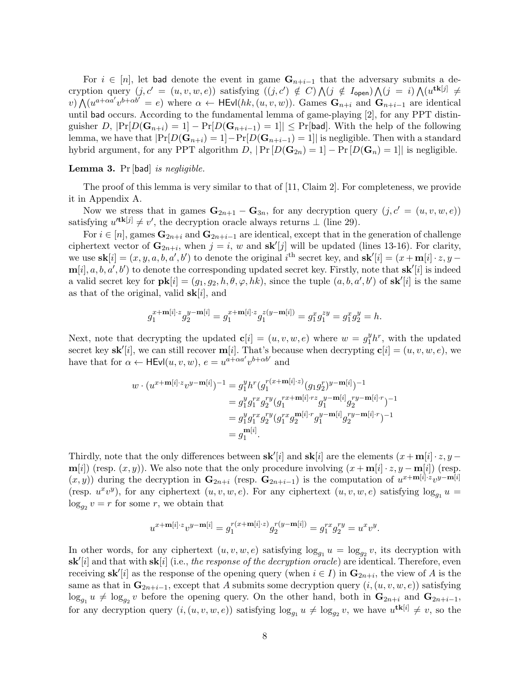For  $i \in [n]$ , let bad denote the event in game  $\mathbf{G}_{n+i-1}$  that the adversary submits a decryption query  $(j, c' = (u, v, w, e))$  satisfying  $((j, c') \notin C) \bigwedge (j \notin I_{\text{open}}) \bigwedge (j = i) \bigwedge (u^{\text{tk}[j]} \neq i)$ v)  $\bigwedge (u^{a+\alpha a'}v^{b+\alpha b'}=e)$  where  $\alpha \leftarrow \text{HEvl}(hk,(u,v,w))$ . Games  $\mathbf{G}_{n+i}$  and  $\mathbf{G}_{n+i-1}$  are identical until bad occurs. According to the fundamental lemma of game-playing [2], for any PPT distinguisher D,  $|\Pr[D(\mathbf{G}_{n+i}) = 1] - \Pr[D(\mathbf{G}_{n+i-1}) = 1]| \leq \Pr[\mathsf{bad}]$ . With the help of the following lemma, we have that  $|\Pr[D(\mathbf{G}_{n+i}) = 1] - \Pr[D(\mathbf{G}_{n+i-1}) = 1]|$  is negligible. Then with a standard hybrid argument, for any PPT algorithm D,  $|Pr[D(G_{2n}) = 1] - Pr[D(G_n) = 1]|$  is negligible.

#### **Lemma 3.** Pr  $[bad]$  is negligible.

The proof of this lemma is very similar to that of [11, Claim 2]. For completeness, we provide it in Appendix A.

Now we stress that in games  $\mathbf{G}_{2n+1} - \mathbf{G}_{3n}$ , for any decryption query  $(j, c' = (u, v, w, e))$ satisfying  $u'^{\text{tk}[j]} \neq v'$ , the decryption oracle always returns  $\perp$  (line 29).

For  $i \in [n]$ , games  $\mathbf{G}_{2n+i}$  and  $\mathbf{G}_{2n+i-1}$  are identical, except that in the generation of challenge ciphertext vector of  $\mathbf{G}_{2n+i}$ , when  $j = i$ , w and  $\mathbf{sk}'[j]$  will be updated (lines 13-16). For clarity, we use  $s\mathbf{k}[i] = (x, y, a, b, a', b')$  to denote the original  $i^{\text{th}}$  secret key, and  $s\mathbf{k}'[i] = (x + \mathbf{m}[i] \cdot z, y$  $m[i], a, b, a', b'$  to denote the corresponding updated secret key. Firstly, note that  $sk'[i]$  is indeed a valid secret key for  $\mathbf{pk}[i] = (g_1, g_2, h, \theta, \varphi, hk)$ , since the tuple  $(a, b, a', b')$  of  $\mathbf{sk}'[i]$  is the same as that of the original, valid  $sk[i]$ , and

$$
g_1^{x+\mathbf{m}[i]\cdot z}g_2^{y-\mathbf{m}[i]}=g_1^{x+\mathbf{m}[i]\cdot z}g_1^{z(y-\mathbf{m}[i])}=g_1^xg_1^{zy}=g_1^xg_2^y=h.
$$

Next, note that decrypting the updated  $\mathbf{c}[i] = (u, v, w, e)$  where  $w = g_1^y h^r$ , with the updated secret key sk'[i], we can still recover  $m[i]$ . That's because when decrypting  $c[i] = (u, v, w, e)$ , we have that for  $\alpha \leftarrow \text{HEvl}(u, v, w), e = u^{a + \alpha a'} v^{b + \alpha b'}$  and

$$
\begin{aligned} w \cdot (u^{x+\mathbf{m}[i]\cdot z}v^{y-\mathbf{m}[i]})^{-1} &= g_1^y h^r (g_1^{r(x+\mathbf{m}[i]\cdot z)}(g_1g_2^r)^{y-\mathbf{m}[i]})^{-1} \\ &= g_1^y g_1^{rx} g_2^{ry} (g_1^{rx+\mathbf{m}[i]\cdot rz} g_1^{y-\mathbf{m}[i]}g_2^{ry-\mathbf{m}[i]\cdot r})^{-1} \\ &= g_1^y g_1^{rx} g_2^{ry} (g_1^{rx} g_2^{\mathbf{m}[i]\cdot r} g_1^{y-\mathbf{m}[i]}g_2^{ry-\mathbf{m}[i]\cdot r})^{-1} \\ &= g_1^{\mathbf{m}[i]} . \end{aligned}
$$

Thirdly, note that the only differences between  $\mathbf{sk}'[i]$  and  $\mathbf{sk}[i]$  are the elements  $(x+\mathbf{m}[i] \cdot z, y-\mathbf{m}[i] \cdot z)$ m[i]) (resp.  $(x, y)$ ). We also note that the only procedure involving  $(x + m[i] \cdot z, y - m[i])$  (resp.  $(x, y)$  during the decryption in  $\mathbf{G}_{2n+i}$  (resp.  $\mathbf{G}_{2n+i-1}$ ) is the computation of  $u^{x+\mathbf{m}[i]\cdot z}v^{y-\mathbf{m}[i]}$ (resp.  $u^xv^y$ ), for any ciphertext  $(u, v, w, e)$ . For any ciphertext  $(u, v, w, e)$  satisfying  $log_{g_1} u =$  $\log_{g_2} v = r$  for some r, we obtain that

$$
u^{x+\mathbf{m}[i]:z}v^{y-\mathbf{m}[i]} = g_1^{r(x+\mathbf{m}[i]:z)}g_2^{r(y-\mathbf{m}[i])} = g_1^{rx}g_2^{ry} = u^xv^y.
$$

In other words, for any ciphertext  $(u, v, w, e)$  satisfying  $log_{g_1} u = log_{g_2} v$ , its decryption with  $sk'[i]$  and that with  $sk[i]$  (i.e., the response of the decryption oracle) are identical. Therefore, even receiving  $sk'[i]$  as the response of the opening query (when  $i \in I$ ) in  $\mathbf{G}_{2n+i}$ , the view of A is the same as that in  $\mathbf{G}_{2n+i-1}$ , except that A submits some decryption query  $(i,(u,v,w,e))$  satisfying  $\log_{g_1} u \neq \log_{g_2} v$  before the opening query. On the other hand, both in  $\mathbf{G}_{2n+i}$  and  $\mathbf{G}_{2n+i-1}$ , for any decryption query  $(i, (u, v, w, e))$  satisfying  $\log_{g_1} u \neq \log_{g_2} v$ , we have  $u^{\mathbf{tk}[i]} \neq v$ , so the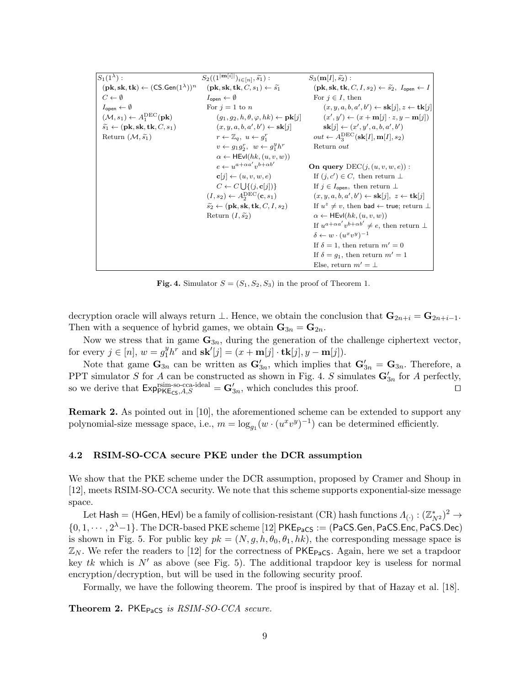| $S_1(1^{\lambda})$ :                                                         | $S_2((1^{ m[i] })_{i\in[n]}, \tilde{s_1})$ :                                    | $S_3(m[I], \widetilde{s_2})$ :                                                                                |
|------------------------------------------------------------------------------|---------------------------------------------------------------------------------|---------------------------------------------------------------------------------------------------------------|
| $(\mathbf{pk}, \mathbf{sk}, \mathbf{tk}) \leftarrow (CS.Gen(1^{\lambda}))^n$ | $(\mathbf{pk}, \mathbf{sk}, \mathbf{tk}, C, s_1) \leftarrow \tilde{s_1}$        | $(\mathbf{pk}, \mathbf{sk}, \mathbf{tk}, C, I, s_2) \leftarrow \widetilde{s_2}, I_{\text{open}} \leftarrow I$ |
| $C \leftarrow \emptyset$                                                     | $I_{\text{open}} \leftarrow \emptyset$                                          | For $j \in I$ , then                                                                                          |
| $I_{\text{open}} \leftarrow \emptyset$                                       | For $j=1$ to n                                                                  | $(x, y, a, b, a', b') \leftarrow \mathbf{sk}[j], z \leftarrow \mathbf{tk}[j]$                                 |
| $(\mathcal{M}, s_1) \leftarrow A_1^{\text{DEC}}(\textbf{pk})$                | $(q_1, q_2, h, \theta, \varphi, hk) \leftarrow \mathbf{pk}[i]$                  | $(x', y') \leftarrow (x + m[i] \cdot z, y - m[i])$                                                            |
| $\widetilde{s_1} \leftarrow (\mathbf{pk}, \mathbf{sk}, \mathbf{tk}, C, s_1)$ | $(x, y, a, b, a', b') \leftarrow \mathbf{sk}[i]$                                | $\mathbf{sk}[j] \leftarrow (x', y', a, b, a', b')$                                                            |
| Return $(\mathcal{M}, \tilde{s_1})$                                          | $r \leftarrow \mathbb{Z}_q, u \leftarrow q_1^r$                                 | $out \leftarrow A_2^{\text{DEC}}(\textbf{sk}[I], \textbf{m}[I], s_2)$                                         |
|                                                                              | $v \leftarrow q_1 q_2^r, \ \ w \leftarrow q_1^y h^r$                            | Return out                                                                                                    |
|                                                                              | $\alpha \leftarrow \text{HEvl}(hk, (u, v, w))$                                  |                                                                                                               |
|                                                                              | $e \leftarrow u^{a+\alpha a'}v^{b+\alpha b'}$                                   | On query $DEC(j, (u, v, w, e))$ :                                                                             |
|                                                                              | $\mathbf{c}[j] \leftarrow (u, v, w, e)$                                         | If $(j, c') \in C$ , then return $\perp$                                                                      |
|                                                                              | $C \leftarrow C \cup \{(j, \mathbf{c}[j])\}$                                    | If $j \in I_{\text{open}}$ , then return $\perp$                                                              |
|                                                                              | $(I, s_2) \leftarrow A_2^{\text{DEC}}(\mathbf{c}, s_1)$                         | $(x, y, a, b, a', b') \leftarrow \mathbf{sk}[j], z \leftarrow \mathbf{tk}[j]$                                 |
|                                                                              | $\widetilde{s_2} \leftarrow (\mathbf{pk}, \mathbf{sk}, \mathbf{tk}, C, I, s_2)$ | If $u^z \neq v$ , then bad $\leftarrow$ true; return $\perp$                                                  |
|                                                                              | Return $(I, \tilde{s_2})$                                                       | $\alpha \leftarrow \mathsf{HEvl}(hk, (u, v, w))$                                                              |
|                                                                              |                                                                                 | If $u^{a+\alpha a'}v^{b+\alpha b'} \neq e$ , then return $\perp$                                              |
|                                                                              |                                                                                 | $\delta \leftarrow w \cdot (u^x v^y)^{-1}$                                                                    |
|                                                                              |                                                                                 | If $\delta = 1$ , then return $m' = 0$                                                                        |
|                                                                              |                                                                                 | If $\delta = q_1$ , then return $m' = 1$                                                                      |
|                                                                              |                                                                                 | Else, return $m' = \perp$                                                                                     |

Fig. 4. Simulator  $S = (S_1, S_2, S_3)$  in the proof of Theorem 1.

decryption oracle will always return  $\bot$ . Hence, we obtain the conclusion that  $\mathbf{G}_{2n+i} = \mathbf{G}_{2n+i-1}$ . Then with a sequence of hybrid games, we obtain  $\mathbf{G}_{3n} = \mathbf{G}_{2n}$ .

Now we stress that in game  $\mathbf{G}_{3n}$ , during the generation of the challenge ciphertext vector, for every  $j \in [n]$ ,  $w = g_1^y h^r$  and  $\mathbf{sk}'[j] = (x + \mathbf{m}[j] \cdot \mathbf{tk}[j], y - \mathbf{m}[j]).$ 

Note that game  $\mathbf{G}_{3n}$  can be written as  $\mathbf{G}'_{3n}$ , which implies that  $\mathbf{G}'_{3n} = \mathbf{G}_{3n}$ . Therefore, a PPT simulator S for A can be constructed as shown in Fig. 4. S simulates  $\mathbf{G}'_{3n}$  for A perfectly, so we derive that  $Expp>K_{\text{Ecs}}^{sim-so-cca-ideal} = G'_{3n}$ , which concludes this proof.

Remark 2. As pointed out in [10], the aforementioned scheme can be extended to support any polynomial-size message space, i.e.,  $m = \log_{g_1}(w \cdot (u^x v^y)^{-1})$  can be determined efficiently.

#### 4.2 RSIM-SO-CCA secure PKE under the DCR assumption

We show that the PKE scheme under the DCR assumption, proposed by Cramer and Shoup in [12], meets RSIM-SO-CCA security. We note that this scheme supports exponential-size message space.

Let  $\textsf{Hash} = (\textsf{HGen}, \textsf{HEvl})$  be a family of collision-resistant  $(\text{CR})$  hash functions  $\Lambda_{(.)} : (\mathbb{Z}_{N^2}^*)^2 \to$  $\{0, 1, \cdots, 2^{\lambda}-1\}$ . The DCR-based PKE scheme [12] PKE<sub>PaCS</sub> := (PaCS.Gen, PaCS.Enc, PaCS.Dec) is shown in Fig. 5. For public key  $pk = (N, g, h, \theta_0, \theta_1, hk)$ , the corresponding message space is  $\mathbb{Z}_N$ . We refer the readers to [12] for the correctness of PKE<sub>PaCS</sub>. Again, here we set a trapdoor key tk which is  $N'$  as above (see Fig. 5). The additional trapdoor key is useless for normal encryption/decryption, but will be used in the following security proof.

Formally, we have the following theorem. The proof is inspired by that of Hazay et al. [18].

**Theorem 2.** PKE<sub>PaCS</sub> is RSIM-SO-CCA secure.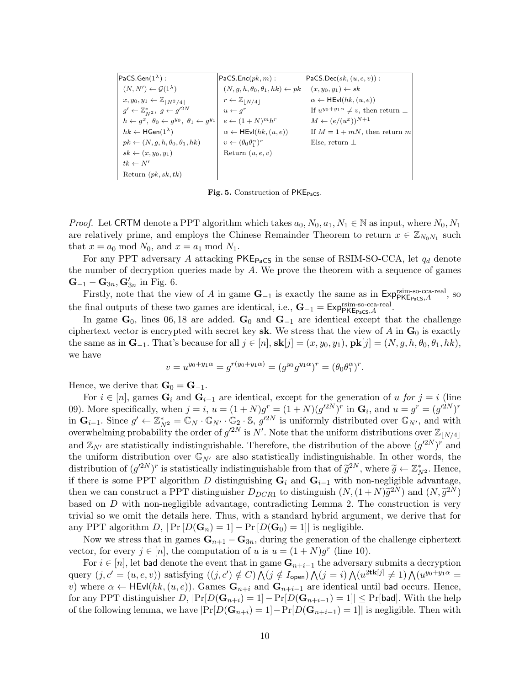| $PaCS.Gen(1^{\lambda})$ :                                                        | $PACS Enc(pk, m)$ :                               | $\mathsf{PaCS}.\mathsf{Dec}(\mathit{sk}, (u, e, v))$ : |
|----------------------------------------------------------------------------------|---------------------------------------------------|--------------------------------------------------------|
| $(N, N') \leftarrow \mathcal{G}(1^{\lambda})$                                    | $(N, q, h, \theta_0, \theta_1, hk) \leftarrow pk$ | $(x, y_0, y_1) \leftarrow sk$                          |
| $x, y_0, y_1 \leftarrow \mathbb{Z}_{ N^2/4 }$                                    | $r \leftarrow \mathbb{Z}_{ N/4 }$                 | $\alpha \leftarrow \mathsf{HEvl}(hk, (u, e))$          |
| $g' \leftarrow \mathbb{Z}_{N2}^*,\ g \leftarrow g'^{2N}$                         | $u \leftarrow q^r$                                | If $u^{y_0+y_1\alpha} \neq v$ , then return $\perp$    |
| $h \leftarrow q^x, \ \theta_0 \leftarrow q^{y_0}, \ \theta_1 \leftarrow q^{y_1}$ | $e \leftarrow (1+N)^m h^r$                        | $M \leftarrow (e/(u^x))^{N+1}$                         |
| $hk \leftarrow \mathsf{HGen}(1^{\lambda})$                                       | $\alpha \leftarrow \mathsf{HEvl}(hk, (u, e))$     | If $M = 1 + mN$ , then return m                        |
| $pk \leftarrow (N, q, h, \theta_0, \theta_1, hk)$                                | $v \leftarrow (\theta_0 \theta_1^{\alpha})^r$     | Else, return $\perp$                                   |
| $sk \leftarrow (x, y_0, y_1)$                                                    | Return $(u, e, v)$                                |                                                        |
| $tk \leftarrow N'$                                                               |                                                   |                                                        |
| Return $(pk, sk, tk)$                                                            |                                                   |                                                        |

Fig. 5. Construction of PKE<sub>PaCS</sub>.

*Proof.* Let CRTM denote a PPT algorithm which takes  $a_0$ ,  $N_0$ ,  $a_1$ ,  $N_1 \in \mathbb{N}$  as input, where  $N_0$ ,  $N_1$ are relatively prime, and employs the Chinese Remainder Theorem to return  $x \in \mathbb{Z}_{N_0N_1}$  such that  $x = a_0 \mod N_0$ , and  $x = a_1 \mod N_1$ .

For any PPT adversary A attacking  $PKE_{PaCS}$  in the sense of RSIM-SO-CCA, let  $q_d$  denote the number of decryption queries made by  $A$ . We prove the theorem with a sequence of games  **in Fig. 6.** 

Firstly, note that the view of A in game  $\mathbf{G}_{-1}$  is exactly the same as in  $\mathsf{Exp}_{\mathsf{PKE}_{\mathsf{PaCS}},A}^{\text{rsim-so-cca-real}}$ , so the final outputs of these two games are identical, i.e.,  $\mathbf{G}_{-1} = \mathsf{Exp}_{\mathsf{PKE}_{\mathsf{PaCS}},A}^{\text{rsim-so-cca-real}}$ .

In game  $\mathbf{G}_0$ , lines 06, 18 are added.  $\mathbf{G}_0$  and  $\mathbf{G}_{-1}$  are identical except that the challenge ciphertext vector is encrypted with secret key sk. We stress that the view of A in  $\mathbf{G}_0$  is exactly the same as in  $\mathbf{G}_{-1}$ . That's because for all  $j \in [n]$ ,  $\mathbf{sk}[j] = (x, y_0, y_1)$ ,  $\mathbf{pk}[j] = (N, g, h, \theta_0, \theta_1, hk)$ , we have

$$
v = u^{y_0 + y_1 \alpha} = g^{r(y_0 + y_1 \alpha)} = (g^{y_0} g^{y_1 \alpha})^r = (\theta_0 \theta_1^{\alpha})^r.
$$

Hence, we derive that  $\mathbf{G}_0 = \mathbf{G}_{-1}$ .

For  $i \in [n]$ , games  $\mathbf{G}_i$  and  $\mathbf{G}_{i-1}$  are identical, except for the generation of u for  $j = i$  (line 09). More specifically, when  $j = i$ ,  $u = (1 + N)g<sup>r</sup> = (1 + N)(g<sup>2N</sup>)<sup>r</sup>$  in  $\mathbf{G}_i$ , and  $u = g<sup>r</sup> = (g<sup>2N</sup>)<sup>r</sup>$ in  $\mathbf{G}_{i-1}$ . Since  $g' \leftarrow \mathbb{Z}_{N^2}^* = \mathbb{G}_N \cdot \mathbb{G}_{N'} \cdot \mathbb{G}_2 \cdot \mathbb{S}$ ,  $g'^{2N}$  is uniformly distributed over  $\mathbb{G}_{N'}$ , and with overwhelming probability the order of  $g'^{2N}$  is N'. Note that the uniform distributions over  $\mathbb{Z}_{|N/4|}$ and  $\mathbb{Z}_{N'}$  are statistically indistinguishable. Therefore, the distribution of the above  $(g'^{2N})^r$  and the uniform distribution over  $\mathbb{G}_{N'}$  are also statistically indistinguishable. In other words, the distribution of  $(g^{2N})^r$  is statistically indistinguishable from that of  $\tilde{g}^{2N}$ , where  $\tilde{g} \leftarrow \mathbb{Z}_{N^2}^*$ . Hence, if there is some PPT algorithm D distinguishing  $\mathbf{G}_i$  and  $\mathbf{G}_{i-1}$  with non-negligible advantage, then we can construct a PPT distinguisher  $D_{DCR1}$  to distinguish  $(N,(1+N)\tilde{g}^{2N})$  and  $(N,\tilde{g}^{2N})$ <br>based on D with non-negligible educators contradicting Lemma 2. The construction is very based on  $D$  with non-negligible advantage, contradicting Lemma 2. The construction is very trivial so we omit the details here. Thus, with a standard hybrid argument, we derive that for any PPT algorithm  $D$ ,  $|\Pr[D(\mathbf{G}_n) = 1] - \Pr[D(\mathbf{G}_0) = 1]|$  is negligible.

Now we stress that in games  $\mathbf{G}_{n+1} - \mathbf{G}_{3n}$ , during the generation of the challenge ciphertext vector, for every  $j \in [n]$ , the computation of u is  $u = (1 + N)g^r$  (line 10).

For  $i \in [n]$ , let bad denote the event that in game  $\mathbf{G}_{n+i-1}$  the adversary submits a decryption query  $(j, c' = (u, e, v))$  satisfying  $((j, c') \notin C) \bigwedge (j \notin I_{\text{open}}) \bigwedge (j = i) \bigwedge (u^{2t\mathbf{k}[j]} \neq 1) \bigwedge (u^{y_0+y_1\alpha} =$ v) where  $\alpha \leftarrow \text{HEvl}(hk,(u,e))$ . Games  $\mathbf{G}_{n+i}$  and  $\mathbf{G}_{n+i-1}$  are identical until bad occurs. Hence, for any PPT distinguisher  $D$ ,  $|\Pr[D(\mathbf{G}_{n+i}) = 1] - \Pr[D(\mathbf{G}_{n+i-1}) = 1]| \leq \Pr[\mathsf{bad}]$ . With the help of the following lemma, we have  $\Pr[D(\mathbf{G}_{n+i}) = 1] - \Pr[D(\mathbf{G}_{n+i-1}) = 1]$  is negligible. Then with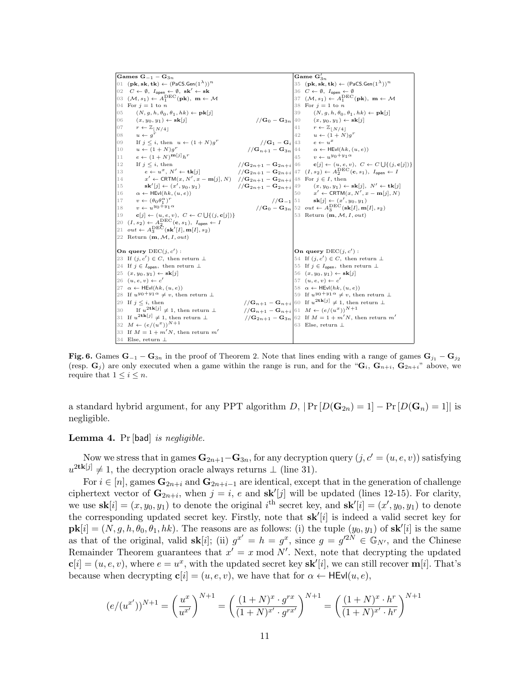| $ {\bf Games\; G}_{-1}-{\bf G}_{3n} $ |                                                                                                                              | Game $G'_{3n}$                                        |  |                                                                                                                                    |
|---------------------------------------|------------------------------------------------------------------------------------------------------------------------------|-------------------------------------------------------|--|------------------------------------------------------------------------------------------------------------------------------------|
|                                       | 01 ( <b>pk</b> , <b>sk</b> , <b>tk</b> ) ← $($ PaCS.Gen $(1^{\lambda})$ $)$ <sup>n</sup>                                     |                                                       |  | 35 (pk, sk, tk) $\leftarrow$ (PaCS.Gen(1 <sup><math>\lambda</math></sup> )) <sup>n</sup>                                           |
|                                       | 02 $C \leftarrow \emptyset$ , $I_{open} \leftarrow \emptyset$ , sk' $\leftarrow$ sk                                          |                                                       |  | 36 $C \leftarrow \emptyset$ , $I_{open} \leftarrow \emptyset$                                                                      |
|                                       | 03 $(\mathcal{M}, s_1) \leftarrow A_1^{\text{DEC}}(\textbf{pk}), \ \mathbf{m} \leftarrow \mathcal{M}$                        |                                                       |  | 37 $(\mathcal{M}, s_1) \leftarrow A_1^{\text{DEC}}(\textbf{pk}), \ \mathbf{m} \leftarrow \mathcal{M}$                              |
|                                       | 04 For $j = 1$ to n                                                                                                          |                                                       |  | 38 For $j = 1$ to n                                                                                                                |
| 05                                    | $(N, g, h, \theta_0, \theta_1, hk) \leftarrow \mathbf{pk}[j]$                                                                |                                                       |  | 39 $(N, g, h, \theta_0, \theta_1, hk) \leftarrow \mathbf{pk}[j]$                                                                   |
| 06                                    | $(x, y_0, y_1) \leftarrow$ sk[j]                                                                                             |                                                       |  | $//\mathbf{G}_0 - \mathbf{G}_{3n} \Big  40 \qquad (x,y_0,y_1) \leftarrow \mathbf{sk}[j]$                                           |
| 07                                    | $r \leftarrow \mathbb{Z}_{ N/4 }$                                                                                            |                                                       |  |                                                                                                                                    |
| 08                                    | $u \leftarrow q^r$                                                                                                           |                                                       |  | $\begin{array}{ll} 41 & & r \leftarrow \mathbb{Z}_{\left \lfloor N/4 \right \rfloor} \\ 42 & & u \leftarrow (1+N) g^r \end{array}$ |
| 09                                    | If $j \leq i$ , then $u \leftarrow (1+N)q^r$                                                                                 | $//\mathbf{G}_1 - \mathbf{G}_i$ 43 $e \leftarrow u^x$ |  |                                                                                                                                    |
| 10                                    | $u \leftarrow (1+N)q^r$                                                                                                      |                                                       |  | $\sqrt{G_{n+1} - G_{3n}}$ 44 $\alpha \leftarrow \text{HEvl}(hk, (u, e))$<br>45 $v \leftarrow u^{y_0 + y_1 \alpha}$                 |
| 11                                    | $e \leftarrow (1+N)^{\mathbf{m}[j]} h^r$                                                                                     |                                                       |  |                                                                                                                                    |
| 12                                    | If $i \leq i$ , then                                                                                                         |                                                       |  | $/(G_{2n+1}-G_{2n+i} 46$ c[j] $\leftarrow (u,e,v), C \leftarrow C \cup \{(j,c[j])\}$                                               |
| 13                                    | $e \leftarrow u^x, N' \leftarrow \mathbf{tk}[i]$                                                                             |                                                       |  | $1/(\mathbf{G}_{2n+1}-\mathbf{G}_{2n+i} 47 \ (I, s_2) \leftarrow A_2^{\text{DEC}}(\mathbf{c}, s_1), I_{\text{open}} \leftarrow I$  |
| 14                                    | $x' \leftarrow \text{CRTM}(x, N', x - \mathbf{m}[j], N)$ // $\mathbf{G}_{2n+1} - \mathbf{G}_{2n+i}$  48 For $j \in I$ , then |                                                       |  |                                                                                                                                    |
| 15                                    | $\mathbf{sk}'[i] \leftarrow (x', y_0, y_1)$                                                                                  |                                                       |  | $//\mathbf{G}_{2n+1}-\mathbf{G}_{2n+i}\Big 49 \qquad (x,y_0,y_1)\leftarrow \mathbf{sk}[j],\,\,N' \leftarrow \mathbf{tk}[j]$        |
| 16                                    | $\alpha \leftarrow \text{HEvl}(hk, (u, e))$                                                                                  |                                                       |  | $50 \t x' \leftarrow \text{CRTM}(x, N', x - \textbf{m}[j], N)$                                                                     |
| 17                                    | $v \leftarrow (\theta_0 \theta_1^{\alpha})^r$                                                                                |                                                       |  | $//\mathbf{G}_{-1}$ [51 sk[j] $\leftarrow (x', y_0, y_1)$                                                                          |
| 18                                    | $v \leftarrow u^{y_0+y_1\alpha}$                                                                                             |                                                       |  | $//\mathbf{G}_0 - \mathbf{G}_{3n}$ 52 out $\leftarrow A_3^{\text{DEC}}(\mathbf{sk}[I], \mathbf{m}[I], s_2)$                        |
| 19                                    | $\mathbf{c}[j] \leftarrow (u, e, v), C \leftarrow C \cup \{(j, \mathbf{c}[j])\}$                                             |                                                       |  | 53 Return $(m, M, I, out)$                                                                                                         |
|                                       | 20 $(I, s_2) \leftarrow A_2^{\text{DEC}}(\mathbf{c}, s_1), I_{\text{open}} \leftarrow I$                                     |                                                       |  |                                                                                                                                    |
|                                       | 21 out $\leftarrow A_3^{\text{DEC}}(\textbf{sk}'[I], \textbf{m}[I], s_2)$                                                    |                                                       |  |                                                                                                                                    |
|                                       | 22 Return $(m, \mathcal{M}, I, out)$                                                                                         |                                                       |  |                                                                                                                                    |
|                                       |                                                                                                                              |                                                       |  |                                                                                                                                    |
|                                       | On query $DEC(j, c')$ :                                                                                                      |                                                       |  | On query $DEC(j, c')$ :                                                                                                            |
|                                       | 23 If $(j, c') \in C$ , then return $\perp$                                                                                  |                                                       |  | 54 If $(j, c') \in C$ , then return $\perp$                                                                                        |
|                                       | 24 If $j \in I_{\text{open}}$ , then return $\perp$                                                                          |                                                       |  | 55 If $j \in I_{\text{open}}$ , then return $\perp$                                                                                |
|                                       | 25 $(x, y_0, y_1) \leftarrow \mathbf{sk}[j]$                                                                                 |                                                       |  | 56 $(x, y_0, y_1) \leftarrow \mathbf{sk}[j]$                                                                                       |
|                                       | 26 $(u, e, v) \leftarrow c'$                                                                                                 |                                                       |  | 57 $(u, e, v) \leftarrow c'$                                                                                                       |
|                                       | 27 $\alpha \leftarrow \text{HEvl}(hk, (u, e))$                                                                               |                                                       |  | 58 $\alpha \leftarrow \mathsf{HEvl}(hk, (u, e))$                                                                                   |
|                                       | 28 If $u^{y_0+y_1\alpha} \neq v$ , then return $\perp$                                                                       |                                                       |  | 59 If $u^{y_0+y_1\alpha} \neq v$ , then return $\perp$                                                                             |
|                                       | 29 If $j \leq i$ , then                                                                                                      |                                                       |  | $//\mathbf{G}_{n+1}-\mathbf{G}_{n+i}\Big 60$ If $u^{2t\mathbf{k}}[j] \neq 1$ , then return $\perp$                                 |
|                                       | 30 If $u^{2t\mathbf{k}[j]} \neq 1$ , then return $\perp$                                                                     |                                                       |  | $//\mathbf{G}_{n+1}-\mathbf{G}_{n+i}$ 61 $M \leftarrow (e/(u^x))^{N+1}$                                                            |
|                                       | 31 If $u^{2t\mathbf{k}[j]} \neq 1$ , then return $\perp$                                                                     |                                                       |  | $//\mathbf{G}_{2n+1}-\mathbf{G}_{3n} 62$ If $M=1+m'N$ , then return m'                                                             |
|                                       | 32 $M \leftarrow (e/(u^x))^{N+1}$                                                                                            |                                                       |  | 63 Else, return ⊥                                                                                                                  |
|                                       | 33 If $M = 1 + m'N$ , then return m'                                                                                         |                                                       |  |                                                                                                                                    |
|                                       | 34 Else, return $\perp$                                                                                                      |                                                       |  |                                                                                                                                    |

**Fig. 6.** Games  $\mathbf{G}_{-1} - \mathbf{G}_{3n}$  in the proof of Theorem 2. Note that lines ending with a range of games  $\mathbf{G}_{j_1} - \mathbf{G}_{j_2}$ (resp.  $\mathbf{G}_j$ ) are only executed when a game within the range is run, and for the " $\mathbf{G}_i$ ,  $\mathbf{G}_{n+i}$ ,  $\mathbf{G}_{2n+i}$ " above, we require that  $1 \leq i \leq n$ .

a standard hybrid argument, for any PPT algorithm D,  $|Pr[D(G_{2n}) = 1] - Pr[D(G_n) = 1]|$  is negligible.

# Lemma 4. Pr [bad] is negligible.

Now we stress that in games  $\mathbf{G}_{2n+1}-\mathbf{G}_{3n}$ , for any decryption query  $(j, c' = (u, e, v))$  satisfying  $u^{2\mathbf{tk}[j]} \neq 1$ , the decryption oracle always returns  $\perp$  (line 31).

For  $i \in [n]$ , games  $\mathbf{G}_{2n+i}$  and  $\mathbf{G}_{2n+i-1}$  are identical, except that in the generation of challenge ciphertext vector of  $\mathbf{G}_{2n+i}$ , when  $j = i$ , e and  $\mathbf{sk}'[j]$  will be updated (lines 12-15). For clarity, we use  $s\mathbf{k}[i]=(x,y_0,y_1)$  to denote the original  $i^{\text{th}}$  secret key, and  $s\mathbf{k}'[i]=(x',y_0,y_1)$  to denote the corresponding updated secret key. Firstly, note that  $sk'[i]$  is indeed a valid secret key for  $\mathbf{pk}[i] = (N, g, h, \theta_0, \theta_1, hk)$ . The reasons are as follows: (i) the tuple  $(y_0, y_1)$  of  $\mathbf{sk}'[i]$  is the same as that of the original, valid  $sk[i]$ ; (ii)  $g^{x'} = h = g^x$ , since  $g = g'^{2N} \in \mathbb{G}_{N'}$ , and the Chinese Remainder Theorem guarantees that  $x' = x \mod N'$ . Next, note that decrypting the updated  $c[i] = (u, e, v)$ , where  $e = u^x$ , with the updated secret key sk'[i], we can still recover  $m[i]$ . That's because when decrypting  $\mathbf{c}[i] = (u, e, v)$ , we have that for  $\alpha \leftarrow \mathsf{HEvl}(u, e)$ ,

$$
(e/(u^{x'}))^{N+1} = \left(\frac{u^x}{u^{x'}}\right)^{N+1} = \left(\frac{(1+N)^x \cdot g^{rx}}{(1+N)^{x'} \cdot g^{rx'}}\right)^{N+1} = \left(\frac{(1+N)^x \cdot h^r}{(1+N)^{x'} \cdot h^r}\right)^{N+1}
$$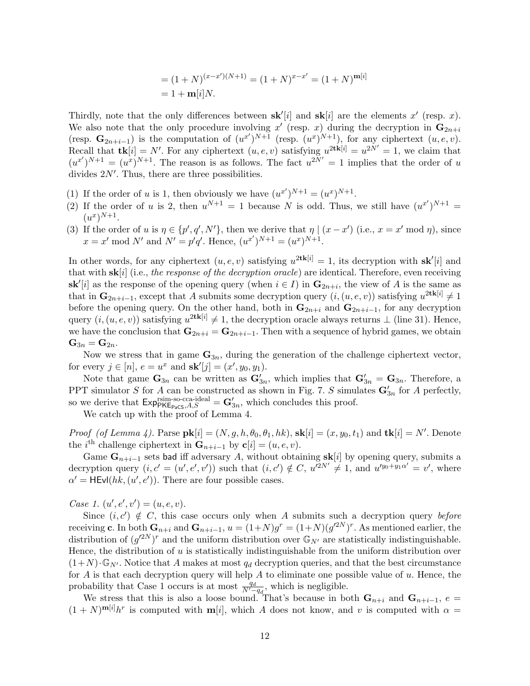$$
= (1+N)^{(x-x')(N+1)} = (1+N)^{x-x'} = (1+N)^{\mathbf{m}[i]}
$$
  
= 1 +  $\mathbf{m}[i]N$ .

Thirdly, note that the only differences between  $sk[i]$  and  $sk[i]$  are the elements x' (resp. x). We also note that the only procedure involving  $x'$  (resp. x) during the decryption in  $\mathbf{G}_{2n+i}$ (resp.  $\mathbf{G}_{2n+i-1}$ ) is the computation of  $(u^{x'})^{N+1}$  (resp.  $(u^{x})^{N+1}$ ), for any ciphertext  $(u, e, v)$ . Recall that  $\mathbf{tk}[i] = N'$ . For any ciphertext  $(u, e, v)$  satisfying  $u^{2\mathbf{tk}[i]} = u^{2N'} = 1$ , we claim that  $(u^{x'})^{N+1} = (u^{x})^{N+1}$ . The reason is as follows. The fact  $u^{2N'} = 1$  implies that the order of u divides  $2N'$ . Thus, there are three possibilities.

- (1) If the order of u is 1, then obviously we have  $(u^{x'})^{N+1} = (u^x)^{N+1}$ .
- (2) If the order of u is 2, then  $u^{N+1} = 1$  because N is odd. Thus, we still have  $(u^{x'})^{N+1} =$  $(u^{x})^{N+1}.$
- (3) If the order of u is  $\eta \in \{p', q', N'\}$ , then we derive that  $\eta \mid (x x')$  (i.e.,  $x = x' \mod \eta$ ), since  $x = x' \bmod N'$  and  $N' = p'q'$ . Hence,  $(u^{x'})^{N+1} = (u^x)^{N+1}$ .

In other words, for any ciphertext  $(u, e, v)$  satisfying  $u^{2t\mathbf{k}[i]} = 1$ , its decryption with  $\mathbf{sk}'[i]$  and that with  $s{\bf k}[i]$  (i.e., the response of the decryption oracle) are identical. Therefore, even receiving  $sk'[i]$  as the response of the opening query (when  $i \in I$ ) in  $\mathbf{G}_{2n+i}$ , the view of A is the same as that in  $\mathbf{G}_{2n+i-1}$ , except that A submits some decryption query  $(i,(u,e,v))$  satisfying  $u^{2t}$ k $[i] \neq 1$ before the opening query. On the other hand, both in  $\mathbf{G}_{2n+i}$  and  $\mathbf{G}_{2n+i-1}$ , for any decryption query  $(i, (u, e, v))$  satisfying  $u^{2t\mathbf{k}[i]} \neq 1$ , the decryption oracle always returns  $\perp$  (line 31). Hence, we have the conclusion that  $\mathbf{G}_{2n+i} = \mathbf{G}_{2n+i-1}$ . Then with a sequence of hybrid games, we obtain  $\mathbf{G}_{3n} = \mathbf{G}_{2n}.$ 

Now we stress that in game  $\mathbf{G}_{3n}$ , during the generation of the challenge ciphertext vector, for every  $j \in [n]$ ,  $e = u^x$  and  $\mathbf{sk}'[j] = (x', y_0, y_1)$ .

Note that game  $\mathbf{G}_{3n}$  can be written as  $\mathbf{G}'_{3n}$ , which implies that  $\mathbf{G}'_{3n} = \mathbf{G}_{3n}$ . Therefore, a PPT simulator S for A can be constructed as shown in Fig. 7. S simulates  $\mathbf{G}_{3n}'$  for A perfectly, so we derive that  $\mathsf{Exp}_{\mathsf{PKE}_{\mathsf{PaCS}},A,S}^{\text{rsim-so-cca-ideal}} = \mathbf{G}'_{3n}$ , which concludes this proof.

We catch up with the proof of Lemma 4.

*Proof (of Lemma 4)*. Parse  $\mathbf{pk}[i] = (N, g, h, \theta_0, \theta_1, hk), \, \mathbf{sk}[i] = (x, y_0, t_1)$  and  $\mathbf{tk}[i] = N'$ . Denote the *i*<sup>th</sup> challenge ciphertext in  $\mathbf{G}_{n+i-1}$  by  $\mathbf{c}[i] = (u, e, v)$ .

Game  $\mathbf{G}_{n+i-1}$  sets bad iff adversary A, without obtaining sk[i] by opening query, submits a decryption query  $(i, c' = (u', e', v'))$  such that  $(i, c') \notin C$ ,  $u'^{2N'} \neq 1$ , and  $u'^{y_0+y_1\alpha'} = v'$ , where  $\alpha' = \text{HEvl}(hk, (u', e')).$  There are four possible cases.

Case 1.  $(u', e', v') = (u, e, v).$ 

Since  $(i, c') \notin C$ , this case occurs only when A submits such a decryption query before receiving **c**. In both  $\mathbf{G}_{n+i}$  and  $\mathbf{G}_{n+i-1}$ ,  $u = (1+N)g^r = (1+N)(g'^{2N})^r$ . As mentioned earlier, the distribution of  $(g'^{2N})^r$  and the uniform distribution over  $\mathbb{G}_{N'}$  are statistically indistinguishable. Hence, the distribution of  $u$  is statistically indistinguishable from the uniform distribution over  $(1+N)\cdot\mathbb{G}_{N'}$ . Notice that A makes at most  $q_d$  decryption queries, and that the best circumstance for  $A$  is that each decryption query will help  $A$  to eliminate one possible value of  $u$ . Hence, the probability that Case 1 occurs is at most  $\frac{q_d}{N'-q_d}$ , which is negligible.

We stress that this is also a loose bound. That's because in both  $\mathbf{G}_{n+i}$  and  $\mathbf{G}_{n+i-1}$ ,  $e =$  $(1+N)^{\mathbf{m}[i]}h^r$  is computed with  $\mathbf{m}[i]$ , which A does not know, and v is computed with  $\alpha =$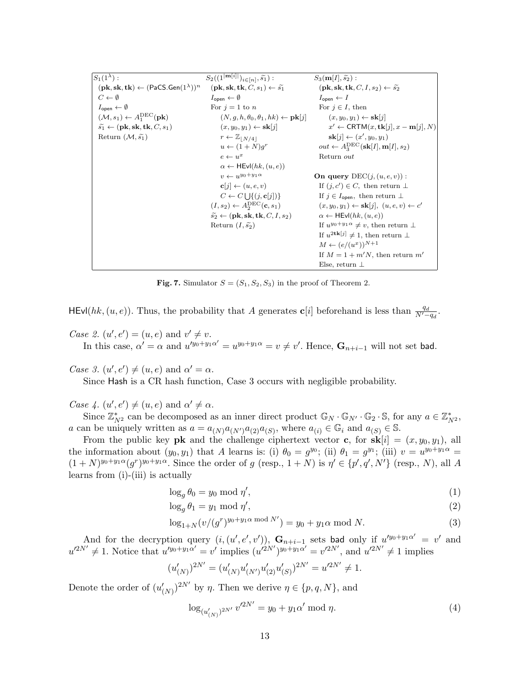| $S_1(1^{\lambda}):$                                                                              | $S_2((1^{ m[i] })_{i\in[n]}, \tilde{s_1})$ :                                    | $S_3(m[I], \widetilde{s_2})$ :                                                  |
|--------------------------------------------------------------------------------------------------|---------------------------------------------------------------------------------|---------------------------------------------------------------------------------|
| $(\mathbf{pk}, \mathbf{sk}, \mathbf{tk}) \leftarrow (\mathsf{PaCS}.\mathsf{Gen}(1^{\lambda}))^n$ | $(\mathbf{pk}, \mathbf{sk}, \mathbf{tk}, C, s_1) \leftarrow \widetilde{s_1}$    | $(\mathbf{pk}, \mathbf{sk}, \mathbf{tk}, C, I, s_2) \leftarrow \widetilde{s_2}$ |
| $C \leftarrow \emptyset$                                                                         | $I_{\text{open}} \leftarrow \emptyset$                                          | $I_{\text{open}} \leftarrow I$                                                  |
| $I_{\text{open}} \leftarrow \emptyset$                                                           | For $j = 1$ to n                                                                | For $j \in I$ , then                                                            |
| $(\mathcal{M}, s_1) \leftarrow A_1^{\text{DEC}}(\textbf{pk})$                                    | $(N, q, h, \theta_0, \theta_1, hk) \leftarrow \mathbf{pk}[j]$                   | $(x, y_0, y_1) \leftarrow$ <b>sk</b> $[i]$                                      |
| $\tilde{s_1} \leftarrow (\mathbf{pk}, \mathbf{sk}, \mathbf{tk}, C, s_1)$                         | $(x, y_0, y_1) \leftarrow$ <b>sk</b> [j]                                        | $x' \leftarrow \text{CRTM}(x, \mathbf{tk}[j], x - \mathbf{m}[j], N)$            |
| Return $(\mathcal{M}, \tilde{s_1})$                                                              | $r \leftarrow \mathbb{Z}_{ N/4 }$                                               | $\mathbf{sk}[j] \leftarrow (x', y_0, y_1)$                                      |
|                                                                                                  | $u \leftarrow (1+N)q^r$                                                         | $out \leftarrow A_3^{\text{DEC}}(\textbf{sk}[I], \textbf{m}[I], s_2)$           |
|                                                                                                  | $e \leftarrow u^x$                                                              | Return out                                                                      |
|                                                                                                  | $\alpha \leftarrow \mathsf{HEvl}(hk, (u, e))$                                   |                                                                                 |
|                                                                                                  |                                                                                 |                                                                                 |
|                                                                                                  | $v \leftarrow u^{y_0+y_1\alpha}$                                                | On query $DEC(j, (u, e, v))$ :                                                  |
|                                                                                                  | $\mathbf{c}[j] \leftarrow (u, e, v)$                                            | If $(j, c') \in C$ , then return $\perp$                                        |
|                                                                                                  | $C \leftarrow C \cup \{(j, \mathbf{c}[j])\}$                                    | If $j \in I_{\text{open}}$ , then return $\perp$                                |
|                                                                                                  | $(I, s_2) \leftarrow A_2^{\text{DEC}}(\mathbf{c}, s_1)$                         | $(x, y_0, y_1) \leftarrow \mathbf{sk}[j], (u, e, v) \leftarrow c'$              |
|                                                                                                  | $\widetilde{s_2} \leftarrow (\mathbf{pk}, \mathbf{sk}, \mathbf{tk}, C, I, s_2)$ | $\alpha \leftarrow \text{HEvl}(hk, (u, e))$                                     |
|                                                                                                  | Return $(I, \widetilde{s_2})$                                                   | If $u^{y_0+y_1\alpha} \neq v$ , then return $\perp$                             |
|                                                                                                  |                                                                                 | If $u^{2t\mathbf{k}[j]} \neq 1$ , then return $\perp$                           |
|                                                                                                  |                                                                                 | $M \leftarrow (e/(u^x))^{N+1}$                                                  |
|                                                                                                  |                                                                                 | If $M = 1 + m'N$ , then return m'                                               |

Fig. 7. Simulator  $S = (S_1, S_2, S_3)$  in the proof of Theorem 2.

HEvl(hk,  $(u, e)$ ). Thus, the probability that A generates **c**[i] beforehand is less than  $\frac{q_d}{N'-q_d}$ .

Case 2.  $(u', e') = (u, e)$  and  $v' \neq v$ .

In this case,  $\alpha' = \alpha$  and  $u''^{y_0+y_1\alpha'} = u^{y_0+y_1\alpha} = v \neq v'$ . Hence,  $\mathbf{G}_{n+i-1}$  will not set bad.

Case 3.  $(u', e') \neq (u, e)$  and  $\alpha' = \alpha$ .

Since Hash is a CR hash function, Case 3 occurs with negligible probability.

Case 4.  $(u', e') \neq (u, e)$  and  $\alpha' \neq \alpha$ .

Since  $\mathbb{Z}_{N^2}^*$  can be decomposed as an inner direct product  $\mathbb{G}_N \cdot \mathbb{G}_{N'} \cdot \mathbb{G}_2 \cdot \mathbb{S}$ , for any  $a \in \mathbb{Z}_{N^2}^*$ , a can be uniquely written as  $a = a_{(N)} a_{(N)} a_{(2)} a_{(S)}$ , where  $a_{(i)} \in \mathbb{G}_i$  and  $a_{(S)} \in \mathbb{S}$ .

From the public key **pk** and the challenge ciphertext vector **c**, for  $s{\bf k}[i] = (x, y_0, y_1)$ , all the information about  $(y_0, y_1)$  that A learns is: (i)  $\theta_0 = g^{y_0}$ ; (ii)  $\theta_1 = g^{y_1}$ ; (iii)  $v = u^{y_0 + y_1 \alpha} =$  $(1+N)^{y_0+y_1\alpha}(g^r)^{y_0+y_1\alpha}$ . Since the order of g (resp.,  $1+N$ ) is  $\eta' \in \{p',q',N'\}$  (resp., N), all A learns from (i)-(iii) is actually

$$
\log_g \theta_0 = y_0 \bmod \eta',\tag{1}
$$

$$
\log_g \theta_1 = y_1 \bmod \eta',\tag{2}
$$

$$
\log_{1+N}(v/(g^r)^{y_0+y_1\alpha \bmod N'}) = y_0 + y_1\alpha \bmod N.
$$
 (3)

And for the decryption query  $(i, (u', e', v'))$ ,  $G_{n+i-1}$  sets bad only if  $u''^{y_0+y_1\alpha'} = v'$  and  $u'^{2N'} \neq 1$ . Notice that  $u'^{y_0+y_1\alpha'} = v'$  implies  $(u'^{2N'})^{y_0+y_1\alpha'} = v'^{2N'}$ , and  $u'^{2N'} \neq 1$  implies

$$
(u'_{(N)})^{2N'} = (u'_{(N)}u'_{(N')}u'_{(2)}u'_{(S)})^{2N'} = u'^{2N'} \neq 1.
$$

Denote the order of  $(u'_{(N)})^{2N'}$  by  $\eta$ . Then we derive  $\eta \in \{p, q, N\}$ , and

$$
\log_{(u'_{(N)})^{2N'}} v'^{2N'} = y_0 + y_1 \alpha' \bmod \eta.
$$
 (4)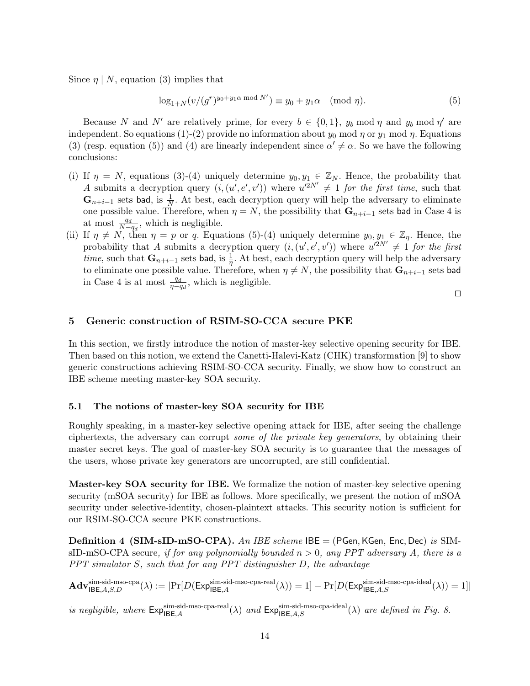Since  $\eta \mid N$ , equation (3) implies that

$$
\log_{1+N}(v/(g^r)^{y_0+y_1\alpha \bmod N'}) \equiv y_0+y_1\alpha \pmod{\eta}.
$$
 (5)

Because N and N' are relatively prime, for every  $b \in \{0,1\}$ ,  $y_b \mod \eta$  and  $y_b \mod \eta'$  are independent. So equations (1)-(2) provide no information about  $y_0$  mod  $\eta$  or  $y_1$  mod  $\eta$ . Equations (3) (resp. equation (5)) and (4) are linearly independent since  $\alpha' \neq \alpha$ . So we have the following conclusions:

- (i) If  $\eta = N$ , equations (3)-(4) uniquely determine  $y_0, y_1 \in \mathbb{Z}_N$ . Hence, the probability that A submits a decryption query  $(i, (u', e', v'))$  where  $u'^{2N'} \neq 1$  for the first time, such that  $\mathbf{G}_{n+i-1}$  sets bad, is  $\frac{1}{N}$ . At best, each decryption query will help the adversary to eliminate one possible value. Therefore, when  $\eta = N$ , the possibility that  $\mathbf{G}_{n+i-1}$  sets bad in Case 4 is at most  $\frac{q_d}{N-q_d}$ , which is negligible.
- (ii) If  $\eta \neq N$ , then  $\eta = p$  or q. Equations (5)-(4) uniquely determine  $y_0, y_1 \in \mathbb{Z}_p$ . Hence, the probability that A submits a decryption query  $(i, (u', e', v'))$  where  $u'^{2N'} \neq 1$  for the first *time*, such that  $\mathbf{G}_{n+i-1}$  sets bad, is  $\frac{1}{n}$ . At best, each decryption query will help the adversary to eliminate one possible value. Therefore, when  $\eta \neq N$ , the possibility that  $\mathbf{G}_{n+i-1}$  sets bad in Case 4 is at most  $\frac{q_d}{\eta - q_d}$ , which is negligible.

 $\Box$ 

# 5 Generic construction of RSIM-SO-CCA secure PKE

In this section, we firstly introduce the notion of master-key selective opening security for IBE. Then based on this notion, we extend the Canetti-Halevi-Katz (CHK) transformation [9] to show generic constructions achieving RSIM-SO-CCA security. Finally, we show how to construct an IBE scheme meeting master-key SOA security.

## 5.1 The notions of master-key SOA security for IBE

Roughly speaking, in a master-key selective opening attack for IBE, after seeing the challenge ciphertexts, the adversary can corrupt some of the private key generators, by obtaining their master secret keys. The goal of master-key SOA security is to guarantee that the messages of the users, whose private key generators are uncorrupted, are still confidential.

Master-key SOA security for IBE. We formalize the notion of master-key selective opening security (mSOA security) for IBE as follows. More specifically, we present the notion of mSOA security under selective-identity, chosen-plaintext attacks. This security notion is sufficient for our RSIM-SO-CCA secure PKE constructions.

**Definition 4 (SIM-sID-mSO-CPA).** An IBE scheme  $B = (PGen, KGen, Enc, Dec)$  is SIMsID-mSO-CPA secure, if for any polynomially bounded  $n > 0$ , any PPT adversary A, there is a  $PPT$  simulator  $S$ , such that for any  $PPT$  distinguisher  $D$ , the advantage

 $\mathbf{Adv}_{\mathsf{IBE},A,S,D}^{\text{sim-sid-mso-cpa}}(\lambda) := \left|\Pr[D(\mathsf{Exp}_{\mathsf{IBE},A}^{\text{sim-sid-mso-cpa-real}}(\lambda)) = 1] - \Pr[D(\mathsf{Exp}_{\mathsf{IBE},A,S}^{\text{sim-sid-mso-cpa-ideal}}(\lambda)) = 1]\right|$ 

is negligible, where  $\mathsf{Exp}_{\mathsf{IBE},A}^{\text{sim-sid-mso-cpa-real}}(\lambda)$  and  $\mathsf{Exp}_{\mathsf{IBE},A,S}^{\text{sim-sid-mso-cpa-ideal}}(\lambda)$  are defined in Fig. 8.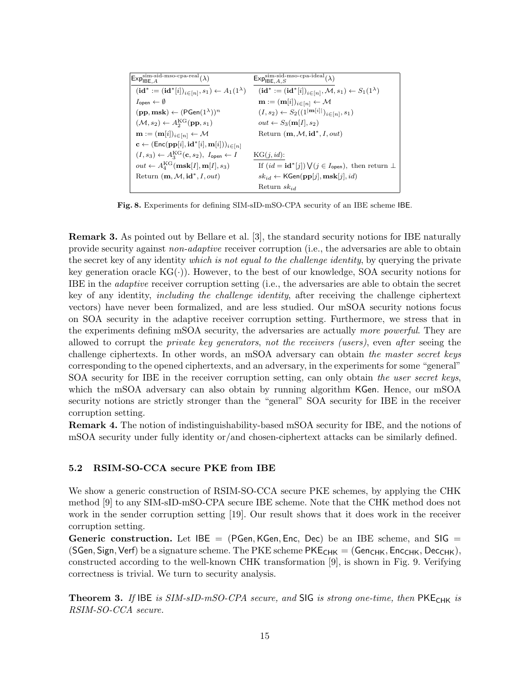| $\mathsf{Exp}_{\mathsf{IBE}, A}^{\mathrm{sim-sid-mso-cpa-real}}(\lambda)$                           | $Exp_{\mathsf{IBE},A,S}^{\text{sim-sid-mso-cpa-ideal}}(\lambda)$                           |
|-----------------------------------------------------------------------------------------------------|--------------------------------------------------------------------------------------------|
| $(id^* := (id^*[i])_{i \in [n]}, s_1) \leftarrow A_1(1^{\lambda})$                                  | $(\mathbf{id}^*:=(\mathbf{id}^*[i])_{i\in[n]},\mathcal{M},s_1)\leftarrow S_1(1^{\lambda})$ |
| $I_{\text{open}} \leftarrow \emptyset$                                                              | $\mathbf{m} := (\mathbf{m}[i])_{i \in [n]} \leftarrow \mathcal{M}$                         |
| $(pp, msk) \leftarrow (PGen(1^{\lambda}))^n$                                                        | $(I, s_2) \leftarrow S_2((1^{ m[i] })_{i \in [n]}, s_1)$                                   |
| $(\mathcal{M}, s_2) \leftarrow A_2^{\mathrm{KG}}(\mathbf{pp}, s_1)$                                 | $out \leftarrow S_3(m[I], s_2)$                                                            |
| $\mathbf{m} := (\mathbf{m}[i])_{i \in [n]} \leftarrow \mathcal{M}$                                  | Return $(m, \mathcal{M}, id^*, I, out)$                                                    |
| $\mathbf{c} \leftarrow (\mathsf{Enc}(\mathbf{pp}[i], \mathbf{id}^*[i], \mathbf{m}[i]))_{i \in [n]}$ |                                                                                            |
| $(I, s_3) \leftarrow A_3^{\mathrm{KG}}(c, s_2), I_{\text{open}} \leftarrow I$                       | KG(j, id).                                                                                 |
| $out \leftarrow A_4^{\text{KG}}(\text{msk}[I], \text{m}[I], s_3)$                                   | If $(id = id^*[j]) \bigvee (j \in I_{open})$ , then return $\perp$                         |
| Return $(m, \mathcal{M}, id^*, I, out)$                                                             | $sk_{id} \leftarrow \mathsf{KGen}(\mathbf{pp}[j], \mathbf{msk}[j], id)$                    |
|                                                                                                     | Return $sk_{id}$                                                                           |

Fig. 8. Experiments for defining SIM-sID-mSO-CPA security of an IBE scheme IBE.

Remark 3. As pointed out by Bellare et al. [3], the standard security notions for IBE naturally provide security against *non-adaptive* receiver corruption (i.e., the adversaries are able to obtain the secret key of any identity which is not equal to the challenge identity, by querying the private key generation oracle  $KG(\cdot)$ . However, to the best of our knowledge, SOA security notions for IBE in the *adaptive* receiver corruption setting (i.e., the adversaries are able to obtain the secret key of any identity, including the challenge identity, after receiving the challenge ciphertext vectors) have never been formalized, and are less studied. Our mSOA security notions focus on SOA security in the adaptive receiver corruption setting. Furthermore, we stress that in the experiments defining mSOA security, the adversaries are actually more powerful. They are allowed to corrupt the *private key generators, not the receivers (users)*, even *after seeing the* challenge ciphertexts. In other words, an mSOA adversary can obtain the master secret keys corresponding to the opened ciphertexts, and an adversary, in the experiments for some "general" SOA security for IBE in the receiver corruption setting, can only obtain the user secret keys, which the mSOA adversary can also obtain by running algorithm KGen. Hence, our mSOA security notions are strictly stronger than the "general" SOA security for IBE in the receiver corruption setting.

Remark 4. The notion of indistinguishability-based mSOA security for IBE, and the notions of mSOA security under fully identity or/and chosen-ciphertext attacks can be similarly defined.

## 5.2 RSIM-SO-CCA secure PKE from IBE

We show a generic construction of RSIM-SO-CCA secure PKE schemes, by applying the CHK method [9] to any SIM-sID-mSO-CPA secure IBE scheme. Note that the CHK method does not work in the sender corruption setting [19]. Our result shows that it does work in the receiver corruption setting.

Generic construction. Let  $IBE = (PGen, KGen, Enc, Dec)$  be an IBE scheme, and SIG  $=$ (SGen, Sign, Verf) be a signature scheme. The PKE scheme PKE<sub>CHK</sub> = (Gen<sub>CHK</sub>, Enc<sub>CHK</sub>, Dec<sub>CHK</sub>), constructed according to the well-known CHK transformation [9], is shown in Fig. 9. Verifying correctness is trivial. We turn to security analysis.

**Theorem 3.** If IBE is SIM-sID-mSO-CPA secure, and SIG is strong one-time, then PKE<sub>CHK</sub> is RSIM-SO-CCA secure.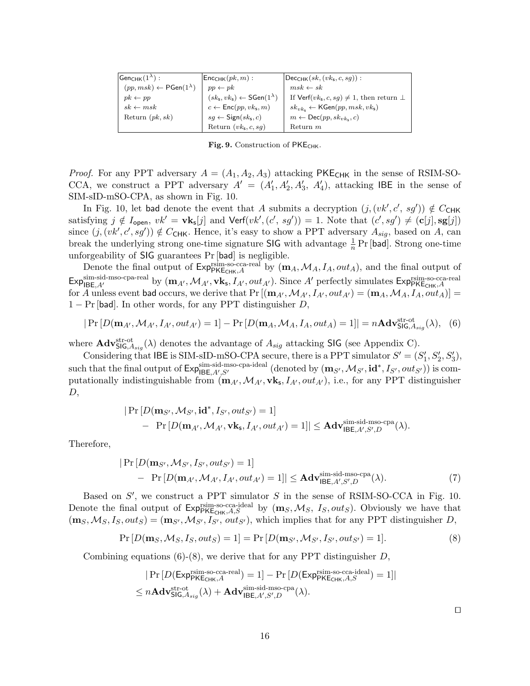| $\mathsf{Gen}_\mathsf{CHK}(1^\lambda)$ :          | $Enc_{CHK}(pk, m)$ :                                   | $ Dec_{CHK}(sk, (vk_s, c, sq))$ :                       |
|---------------------------------------------------|--------------------------------------------------------|---------------------------------------------------------|
| $(pp, msk) \leftarrow \mathsf{PGen}(1^{\lambda})$ | $pp \leftarrow pk$                                     | $msk \leftarrow sk$                                     |
| $pk \leftarrow pp$                                | $(s k_s, v k_s) \leftarrow \mathsf{SGen}(1^{\lambda})$ | If Verf $(vk_s, c, sq) \neq 1$ , then return $\perp$    |
| $sk \leftarrow msk$                               | $c \leftarrow \mathsf{Enc}(pp, vk_{s},m)$              | $sk_{vk_{s}} \leftarrow \mathsf{KGen}(pp, msk, vk_{s})$ |
| Return $(pk, sk)$                                 | $sq \leftarrow$ Sign $(sk_s, c)$                       | $m \leftarrow \textsf{Dec}(pp, sk_{nk}, c)$             |
|                                                   | Return $(vk_s, c, sq)$                                 | Return m                                                |

Fig. 9. Construction of PKE<sub>CHK</sub>.

*Proof.* For any PPT adversary  $A = (A_1, A_2, A_3)$  attacking PKE<sub>CHK</sub> in the sense of RSIM-SO-CCA, we construct a PPT adversary  $A' = (A'_1, A'_2, A'_3, A'_4)$ , attacking IBE in the sense of SIM-sID-mSO-CPA, as shown in Fig. 10.

In Fig. 10, let bad denote the event that A submits a decryption  $(j, (vk', c', sg')) \notin C$ CHK satisfying  $j \notin I_{\text{open}}$ ,  $vk' = \mathbf{vk}_s[j]$  and  $\mathsf{Verf}(vk', (c', sg')) = 1$ . Note that  $(c', sg') \neq (\mathbf{c}[j], \mathbf{sg}[j])$ since  $(j, (vk', c', sg')) \notin C_{\text{CHK}}$ . Hence, it's easy to show a PPT adversary  $A_{sig}$ , based on A, can break the underlying strong one-time signature  $\textsf{SIG}$  with advantage  $\frac{1}{n} \Pr[\textsf{bad}]$ . Strong one-time unforgeability of SIG guarantees Pr [bad] is negligible.

Denote the final output of  $Exp_{\text{PKE}_{\text{CHK}},A}^{\text{rsim-so-cca-real}}$  by  $(\mathbf{m}_A,\mathcal{M}_A,I_A,out_A),$  and the final output of  $\text{Exp}_{\text{IBE},A'}^{\text{sim-sid-mso-cpa-real}}$  by  $(\mathbf{m}_{A'}, \mathcal{M}_{A'}, \mathbf{vk}_{s}, I_{A'}, out_{A'})$ . Since A' perfectly simulates  $\text{Exp}_{\text{PKE}_{\text{CHK}},A}^{\text{sim-so-ca-real}}$ for A unless event bad occurs, we derive that  $Pr[(\mathbf{m}_{A'}, \mathcal{M}_{A'}, I_{A'}, out_{A'}) = (\mathbf{m}_A, \mathcal{M}_A, I_A, out_A)] =$  $1 - Pr$  [bad]. In other words, for any PPT distinguisher D,

$$
|\Pr\left[D(\mathbf{m}_{A'}, \mathcal{M}_{A'}, I_{A'}, out_{A'}\right) = 1] - \Pr\left[D(\mathbf{m}_A, \mathcal{M}_A, I_A, out_A) = 1\right]| = n\mathbf{Adv}_{\mathsf{SIG}, A_{sig}}^{\text{str-ot}}(\lambda), \tag{6}
$$

where  $\mathbf{Adv}^{\text{str-ot}}_{\mathsf{SIG}, A_{sig}}(\lambda)$  denotes the advantage of  $A_{sig}$  attacking SIG (see Appendix C).

Considering that IBE is SIM-sID-mSO-CPA secure, there is a PPT simulator  $S' = (S'_1, S'_2, S'_3)$ , such that the final output of  $\mathsf{Exp}_{\mathsf{IBE}, A', S'}^{\mathsf{sim-sid-mso-cpa-ideal}}$  (denoted by  $(\mathbf{m}_{S'}, \mathcal{M}_{S'}, \mathbf{id}^*, I_{S'}, out_{S'}))$  is computationally indistinguishable from  $(\mathbf{m}_{A'}, \mathcal{M}_{A'}, \mathbf{vk}_{s}, I_{A'}, out_{A'})$ , i.e., for any PPT distinguisher  $D,$ 

$$
|\Pr[D(\mathbf{m}_{S'}, \mathcal{M}_{S'}, \mathbf{id}^*, I_{S'}, out_{S'}) = 1] - \Pr[D(\mathbf{m}_{A'}, \mathcal{M}_{A'}, \mathbf{vk}_s, I_{A'}, out_{A'}) = 1]| \leq \mathbf{Adv}_{\mathsf{IBE}, A', S', D}^{\text{sim-sid-mso-cpa}}(\lambda).
$$

Therefore,

$$
|\Pr[D(\mathbf{m}_{S'}, \mathcal{M}_{S'}, I_{S'}, out_{S'}) = 1] - \Pr[D(\mathbf{m}_{A'}, \mathcal{M}_{A'}, I_{A'}, out_{A'}) = 1]| \leq \mathbf{Adv}_{\mathsf{IBE}, A', S', D}^{\text{sim-sid-mso-cpa}}(\lambda). \tag{7}
$$

Based on  $S'$ , we construct a PPT simulator  $S$  in the sense of RSIM-SO-CCA in Fig. 10. Denote the final output of  $Exp_{PKE_{CHK},A,S}^{\text{rsim-so-ca-ideal}}$  by  $(\mathbf{m}_S,\mathcal{M}_S, I_S, out_S)$ . Obviously we have that  $(m_S, M_S, I_S, out_S) = (m_{S'}, M_{S'}, I_{S'}, out_{S'})$ , which implies that for any PPT distinguisher D,

$$
Pr[D(\mathbf{m}_{S}, \mathcal{M}_{S}, I_{S}, out_{S}) = 1] = Pr[D(\mathbf{m}_{S'}, \mathcal{M}_{S'}, I_{S'}, out_{S'}) = 1].
$$
\n(8)

Combining equations  $(6)-(8)$ , we derive that for any PPT distinguisher D,

$$
|\Pr\left[D(\text{Exp}_{\text{PKC}_{\text{CHK}},A}^{\text{rsim-so-cca-real}}\right) = 1] - \Pr\left[D(\text{Exp}_{\text{PKC}_{\text{CHK}},A,S}^{\text{rsim-so-cca-ideal}}\right) = 1]|
$$
  

$$
\leq n\text{Adv}_{\text{SIG},A_{sig}}^{\text{str-ot}}(\lambda) + \text{Adv}_{\text{IBE},A',S',D}^{\text{sim-sid-mso-cpa}}(\lambda).
$$

 $\Box$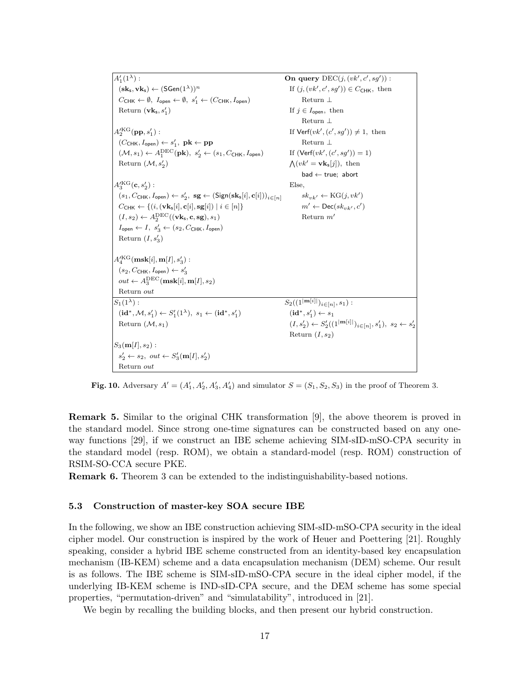$A'_1$  $(1^{\lambda})$ : **On query**  $DEC(j, (vk', c', sg'))$ :  $({\bf sk}_s, {\bf vk}_s) \leftarrow (SGen(1^{\lambda}))^n$  $(c', sg')) \in C_{\mathsf{CHK}}, \text{ then}$  $C_{\mathsf{CHK}} \leftarrow \emptyset$ ,  $I_{\mathsf{open}} \leftarrow \emptyset$ ,  $s'_1 \leftarrow (C_{\mathsf{CHK}}, I_{\mathsf{open}})$  Return  $\perp$ Return  $(\mathbf{vk}_s, s'_1)$ If  $j \in I_{\text{open}}$ , then Return ⊥  $A_2^{\prime {\rm KG}}({\bf p p},s_1^{\prime }$  $\text{If } \text{Verf}(vk', (c', sg')) \neq 1, \text{ then}$  $(C_{\mathsf{CHK}}, I_{\mathsf{open}}) \leftarrow s'_1, \; \mathbf{pk} \leftarrow \mathbf{pp}$  Return  $\perp$  $(\mathcal{M}, s_1) \leftarrow A_1^{\text{DEC}}(\textbf{pk}), \ s_2' \leftarrow (s_1, C_{\text{CHK}}, I_{\text{open}})$  If  $(\text{Verf}(vk')$  $, (c', sg')) = 1)$ Return  $(\mathcal{M}, s'_2)$  $\bigwedge (vk' = \mathbf{vk}_s[j]),$  then bad ← true; abort  $A_3^{\prime {\rm KG}} ({\bf c}, s'_2$  $\qquad \qquad \text{Else,}$  $(s_1, C_{\mathsf{CHK}}, I_{\mathsf{open}}) \leftarrow s_2', \ \ \mathbf{sg} \leftarrow (\mathsf{Sign}(\mathbf{sk}_\mathsf{s}[i], \mathbf{c}[i]))_{i \in [n]} \qquad \quad sk_{vk'} \leftarrow \mathsf{KG}(j, vk'$  $sk_{vk'} \leftarrow KG(j, vk')$  $C_{\mathsf{CHK}} \leftarrow \{(i, (\mathbf{vk}_s[i], \mathbf{c}[i], \mathbf{sg}[i]) \mid i \in [n]\}$  $m' \leftarrow \mathsf{Dec}(sk_{vk'}, c')$  $(I, s_2) \leftarrow A_2^{\text{DEC}}((\mathbf{vk_s}, \mathbf{c}, \mathbf{sg}), s_1)$  Return m'  $I_{\mathsf{open}} \leftarrow I, \ s_3' \leftarrow (s_2, C_{\mathsf{CHK}}, I_{\mathsf{open}})$ Return  $(I, s'_3)$  $A_4^{\prime\rm KG}({\rm msk}[i],{\rm m}[I],s_3^\prime)$  :  $(s_2, C_{\text{CHK}}, I_{\text{open}}) \leftarrow s_3'$  $out \leftarrow A_3^{\text{DEC}}(\textbf{msk}[i], \textbf{m}[I], s_2)$ Return out  $S_1(1^{\lambda})$ :  $S_2((1^{|\mathbf{m}[i]|})_{i \in [n]}, s_1)$ :  $(\mathbf{id}^*, \mathcal{M}, s'_1) \leftarrow S'_1(1^{\lambda}), \ s_1 \leftarrow (\mathbf{id}^*, s'_1)$ )  $(id^*, s'_1) \leftarrow s_1$ Return  $(\mathcal{M}, s_1)$  $S'_2$  +  $S'_2$  ((1<sup>|m[i]</sup>])<sub>i $\in$ [n]</sub>,  $s'_1$ ),  $s_2 \leftarrow s'_2$ Return  $(I, s_2)$  $S_3(m[I], s_2)$ :  $s'_2 \leftarrow s_2, \ \ out \leftarrow S'_3(\mathbf{m}[I], s'_2)$ Return out

Fig. 10. Adversary  $A' = (A'_1, A'_2, A'_3, A'_4)$  and simulator  $S = (S_1, S_2, S_3)$  in the proof of Theorem 3.

Remark 5. Similar to the original CHK transformation [9], the above theorem is proved in the standard model. Since strong one-time signatures can be constructed based on any oneway functions [29], if we construct an IBE scheme achieving SIM-sID-mSO-CPA security in the standard model (resp. ROM), we obtain a standard-model (resp. ROM) construction of RSIM-SO-CCA secure PKE.

Remark 6. Theorem 3 can be extended to the indistinguishability-based notions.

## 5.3 Construction of master-key SOA secure IBE

In the following, we show an IBE construction achieving SIM-sID-mSO-CPA security in the ideal cipher model. Our construction is inspired by the work of Heuer and Poettering [21]. Roughly speaking, consider a hybrid IBE scheme constructed from an identity-based key encapsulation mechanism (IB-KEM) scheme and a data encapsulation mechanism (DEM) scheme. Our result is as follows. The IBE scheme is SIM-sID-mSO-CPA secure in the ideal cipher model, if the underlying IB-KEM scheme is IND-sID-CPA secure, and the DEM scheme has some special properties, "permutation-driven" and "simulatability", introduced in [21].

We begin by recalling the building blocks, and then present our hybrid construction.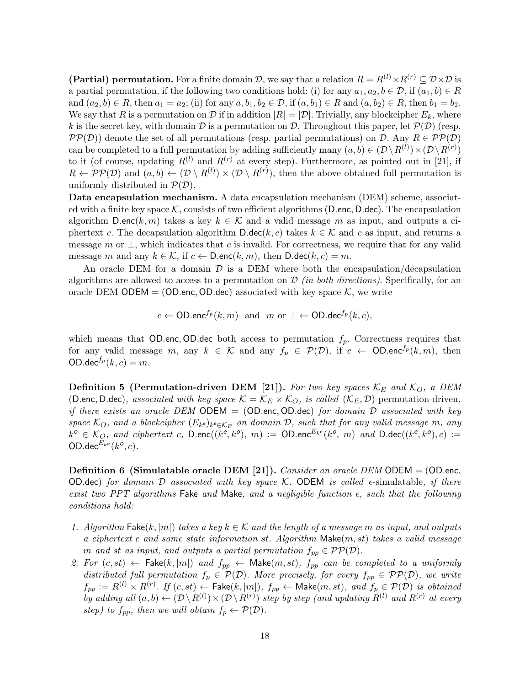(Partial) permutation. For a finite domain D, we say that a relation  $R = R^{(l)} \times R^{(r)} \subset \mathcal{D} \times \mathcal{D}$  is a partial permutation, if the following two conditions hold: (i) for any  $a_1, a_2, b \in \mathcal{D}$ , if  $(a_1, b) \in R$ and  $(a_2, b) \in R$ , then  $a_1 = a_2$ ; (ii) for any  $a, b_1, b_2 \in \mathcal{D}$ , if  $(a, b_1) \in R$  and  $(a, b_2) \in R$ , then  $b_1 = b_2$ . We say that R is a permutation on D if in addition  $|R| = |\mathcal{D}|$ . Trivially, any blockcipher  $E_k$ , where k is the secret key, with domain  $\mathcal D$  is a permutation on  $\mathcal D$ . Throughout this paper, let  $\mathcal P(\mathcal D)$  (resp.  $\mathcal{PP}(\mathcal{D})$  denote the set of all permutations (resp. partial permutations) on D. Any  $R \in \mathcal{PP}(\mathcal{D})$ can be completed to a full permutation by adding sufficiently many  $(a, b) \in (D \setminus R^{(l)}) \times (D \setminus R^{(r)})$ to it (of course, updating  $R^{(l)}$  and  $R^{(r)}$  at every step). Furthermore, as pointed out in [21], if  $R \leftarrow \mathcal{PP}(\mathcal{D})$  and  $(a, b) \leftarrow (\mathcal{D} \setminus R^{(l)}) \times (\mathcal{D} \setminus R^{(r)})$ , then the above obtained full permutation is uniformly distributed in  $\mathcal{P}(\mathcal{D})$ .

Data encapsulation mechanism. A data encapsulation mechanism (DEM) scheme, associated with a finite key space  $K$ , consists of two efficient algorithms (D.enc, D.dec). The encapsulation algorithm D.enc(k, m) takes a key  $k \in \mathcal{K}$  and a valid message m as input, and outputs a ciphertext c. The decapsulation algorithm  $D \text{.dec}(k, c)$  takes  $k \in \mathcal{K}$  and c as input, and returns a message m or  $\perp$ , which indicates that c is invalid. For correctness, we require that for any valid message m and any  $k \in \mathcal{K}$ , if  $c \leftarrow D$ .enc $(k, m)$ , then  $D$ .dec $(k, c) = m$ .

An oracle DEM for a domain  $\mathcal D$  is a DEM where both the encapsulation/decapsulation algorithms are allowed to access to a permutation on  $\mathcal{D}$  (in both directions). Specifically, for an oracle DEM ODEM = (OD.enc, OD.dec) associated with key space  $K$ , we write

 $c \leftarrow \mathsf{OD}.\mathsf{enc}^{f_p}(k,m)$  and  $m$  or  $\bot \leftarrow \mathsf{OD}.\mathsf{dec}^{f_p}(k,c)$ ,

which means that OD.enc, OD.dec both access to permutation  $f_p$ . Correctness requires that for any valid message m, any  $k \in \mathcal{K}$  and any  $f_p \in \mathcal{P}(\mathcal{D})$ , if  $c \leftarrow \text{OD.enc}^{f_p}(k,m)$ , then OD.dec<sup> $f_p(k, c) = m$ .</sup>

**Definition 5 (Permutation-driven DEM [21]).** For two key spaces  $\mathcal{K}_E$  and  $\mathcal{K}_O$ , a DEM (D.enc, D.dec), associated with key space  $\mathcal{K} = \mathcal{K}_E \times \mathcal{K}_O$ , is called  $(\mathcal{K}_E, \mathcal{D})$ -permutation-driven, if there exists an oracle DEM ODEM = (OD.enc, OD.dec) for domain  $D$  associated with key space  $\mathcal{K}_O$ , and a blockcipher  $(E_{k^e})_{k^e \in \mathcal{K}_E}$  on domain  $\mathcal{D}$ , such that for any valid message m, any  $k^{\texttt{o}} \in \mathcal{K}_O$ , and ciphertext  $c$ ,  $D$ .enc $((k^{\texttt{e}}, k^{\texttt{o}}), m) := OD$ .enc $^{E_{k^{\texttt{e}}}}(k^{\texttt{o}}, m)$  and  $D$ .dec $((k^{\texttt{e}}, k^{\texttt{o}}), c) :=$ OD.dec $^{E_{k^e}}(k^o, c)$ .

**Definition 6 (Simulatable oracle DEM [21]).** Consider an oracle DEM ODEM = (OD.enc, OD.dec) for domain D associated with key space K. ODEM is called  $\epsilon$ -simulatable, if there exist two PPT algorithms Fake and Make, and a negligible function  $\epsilon$ , such that the following conditions hold:

- 1. Algorithm Fake(k, |m|) takes a key  $k \in \mathcal{K}$  and the length of a message m as input, and outputs a ciphertext c and some state information st. Algorithm  $\mathsf{Make}(m, st)$  takes a valid message m and st as input, and outputs a partial permutation  $f_{pp} \in \mathcal{PP}(\mathcal{D})$ .
- 2. For  $(c, st) \leftarrow$  Fake $(k, |m|)$  and  $f_{pp} \leftarrow$  Make $(m, st)$ ,  $f_{pp}$  can be completed to a uniformly distributed full permutation  $f_p \in \mathcal{P}(\mathcal{D})$ . More precisely, for every  $f_{pp} \in \mathcal{PP}(\mathcal{D})$ , we write  $f_{pp}:=R^{(l)}\times R^{(r)}.$  If  $(c,st)\leftarrow$  Fake $(k,|m|),$   $f_{pp}\leftarrow$  Make $(m,st),$  and  $f_p\in \mathcal{P}(\mathcal{D})$  is obtained by adding all  $(a, b) \leftarrow (\mathcal{D} \setminus R^{(l)}) \times (\mathcal{D} \setminus R^{(r)})$  step by step (and updating  $R^{(l)}$  and  $R^{(r)}$  at every step) to  $f_{pp}$ , then we will obtain  $f_p \leftarrow \mathcal{P}(\mathcal{D})$ .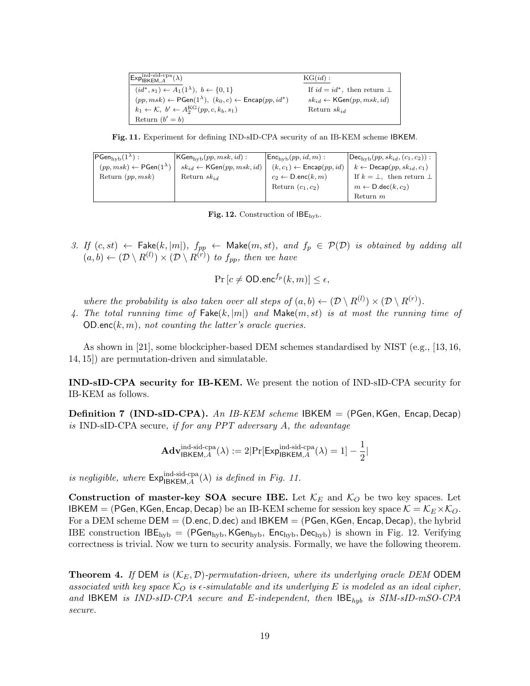| $\boxed{\mathsf{Exp}^{\text{ind-sid-cpa}}_{\mathsf{IBKEM},A}(\lambda)}$                         | KG(id):                                         |
|-------------------------------------------------------------------------------------------------|-------------------------------------------------|
| $(id^*, s_1) \leftarrow A_1(1^{\lambda}), b \leftarrow \{0, 1\}$                                | If $id = id^*$ , then return $\perp$            |
| $(pp, msk) \leftarrow \mathsf{PGen}(1^{\lambda}), (k_0, c) \leftarrow \mathsf{Encap}(pp, id^*)$ | $sk_{id} \leftarrow \mathsf{KGen}(pp, msk, id)$ |
| $k_1 \leftarrow \mathcal{K}, b' \leftarrow A_2^{\text{KG}}(pp, c, k_b, s_1)$                    | Return $sk_{id}$                                |
| Return $(b' = b)$                                                                               |                                                 |

Fig. 11. Experiment for defining IND-sID-CPA security of an IB-KEM scheme IBKEM.

| $PGen_{\rm hvb}(1^{\lambda})$ :                   | $ KGen_{\rm hvb}(pp,msk,id):$                   | $\left \mathsf{Enc}_{\text{hyb}}(pp, id, m) : \right $ | $ \mathsf{Dec}_{\text{hvb}}(pp, sk_{id}, (c_1, c_2)) :  $ |
|---------------------------------------------------|-------------------------------------------------|--------------------------------------------------------|-----------------------------------------------------------|
| $(pp, msk) \leftarrow \mathsf{PGen}(1^{\lambda})$ | $sk_{id} \leftarrow \mathsf{KGen}(pp, msk, id)$ | $(k, c_1) \leftarrow$ Encap $(pp, id)$                 | $k \leftarrow \mathsf{Decap}(pp, sk_{id}, c_1)$           |
| Return $(pp, msk)$                                | Return $sk_{id}$                                | $c_2 \leftarrow \mathsf{D}.\mathsf{enc}(k,m)$          | If $k = \perp$ , then return $\perp$                      |
|                                                   |                                                 | Return $(c_1, c_2)$                                    | $m \leftarrow D \cdot \text{dec}(k, c_2)$                 |
|                                                   |                                                 |                                                        | Return $m$                                                |

Fig. 12. Construction of IBE<sub>hyb</sub>.

3. If  $(c, st) \leftarrow$  Fake $(k, |m|)$ ,  $f_{pp} \leftarrow$  Make $(m,st)$ , and  $f_p \in \mathcal{P}(\mathcal{D})$  is obtained by adding all  $(a,b) \leftarrow (\mathcal{D} \setminus R^{(l)}) \times (\mathcal{D} \setminus R^{(r)})$  to  $f_{pp}$ , then we have

$$
\Pr\left[c \neq \text{OD.enc}^{f_p}(k, m)\right] \le \epsilon,
$$

where the probability is also taken over all steps of  $(a, b) \leftarrow (\mathcal{D} \setminus R^{(l)}) \times (\mathcal{D} \setminus R^{(r)})$ .

4. The total running time of  $\mathsf{False}(k, |m|)$  and  $\mathsf{Make}(m, st)$  is at most the running time of OD.enc $(k, m)$ , not counting the latter's oracle queries.

As shown in [21], some blockcipher-based DEM schemes standardised by NIST (e.g., [13, 16, 14, 15]) are permutation-driven and simulatable.

IND-sID-CPA security for IB-KEM. We present the notion of IND-sID-CPA security for IB-KEM as follows.

**Definition 7 (IND-sID-CPA).** An IB-KEM scheme IBKEM = (PGen, KGen, Encap, Decap) is IND-sID-CPA secure, if for any PPT adversary A, the advantage

$$
\mathbf{Adv}_{\mathsf{IBKEM},A}^{\mathrm{ind\text{-}sid\text{-}cpa}}(\lambda) := 2|\mathrm{Pr}[\mathsf{Exp}_{\mathsf{IBKEM},A}^{\mathrm{ind\text{-}sid\text{-}cpa}}(\lambda) = 1] - \frac{1}{2}|
$$

is negligible, where  $\mathsf{Exp}_{\mathsf{IBKEM}, A}^{\mathrm{ind-sid-cpa}}(\lambda)$  is defined in Fig. 11.

Construction of master-key SOA secure IBE. Let  $\mathcal{K}_E$  and  $\mathcal{K}_O$  be two key spaces. Let IBKEM = (PGen, KGen, Encap, Decap) be an IB-KEM scheme for session key space  $K = \mathcal{K}_E \times \mathcal{K}_O$ . For a DEM scheme DEM = (D.enc, D.dec) and IBKEM = (PGen, KGen, Encap, Decap), the hybrid IBE construction  $\text{IBE}_{\text{hyb}} = (\text{PGen}_{\text{hyb}}, \text{KGen}_{\text{hyb}}, \text{Enc}_{\text{hyb}}, \text{Dec}_{\text{hyb}})$  is shown in Fig. 12. Verifying correctness is trivial. Now we turn to security analysis. Formally, we have the following theorem.

**Theorem 4.** If DEM is  $(\mathcal{K}_E, \mathcal{D})$ -permutation-driven, where its underlying oracle DEM ODEM associated with key space  $\mathcal{K}_O$  is  $\epsilon$ -simulatable and its underlying E is modeled as an ideal cipher, and IBKEM is IND-sID-CPA secure and E-independent, then  $\text{IBE}_{hyb}$  is SIM-sID-mSO-CPA secure.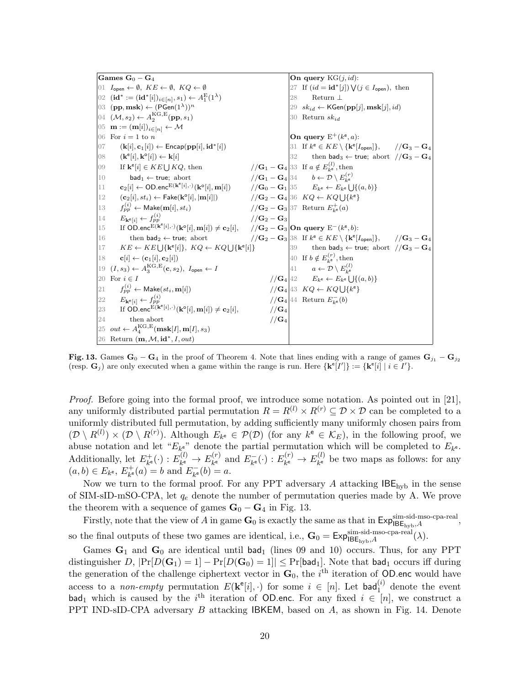|                 | Games $G_0 - G_4$                                                                                                                                                                                          |                  |    | On query $KG(j, id)$ :                                                                                                      |  |
|-----------------|------------------------------------------------------------------------------------------------------------------------------------------------------------------------------------------------------------|------------------|----|-----------------------------------------------------------------------------------------------------------------------------|--|
|                 | 01 $I_{\text{open}} \leftarrow \emptyset$ , $KE \leftarrow \emptyset$ , $KQ \leftarrow \emptyset$                                                                                                          |                  |    | 27 If $(id = id^*[j]) \bigvee (j \in I_{open}),$ then                                                                       |  |
|                 | 02 $(\mathbf{id}^*:=(\mathbf{id}^*[i])_{i\in[n]},s_1)\leftarrow A_1^{\mathrm{E}}(1^{\lambda})$                                                                                                             |                  | 28 | Return $\perp$                                                                                                              |  |
|                 | 03 (pp, msk) $\leftarrow (PGen(1^{\lambda}))^n$                                                                                                                                                            |                  |    | 29 $sk_{id} \leftarrow \mathsf{KGen}(\mathbf{pp}[j], \mathbf{msk}[j], id)$                                                  |  |
|                 | 04 $(\mathcal{M}, s_2) \leftarrow A_2^{\text{KG}, \text{E}}(\text{pp}, s_1)$                                                                                                                               |                  |    | 30 Return $sk_{id}$                                                                                                         |  |
|                 | 05 $\mathbf{m} := (\mathbf{m}[i])_{i \in [n]} \leftarrow \mathcal{M}$                                                                                                                                      |                  |    |                                                                                                                             |  |
|                 | 06 For $i=1$ to n                                                                                                                                                                                          |                  |    | On query $E^+(k^e, a)$ :                                                                                                    |  |
| 07              | $(\mathbf{k}[i], \mathbf{c}_1[i]) \leftarrow \mathsf{Encap}(\mathbf{pp}[i], \mathbf{id}^*[i])$                                                                                                             |                  |    | 31 If $k^e \in KE \setminus {\bf k}^e[I_{\text{open}}]$ , $//\mathbf{G}_3 - \mathbf{G}_4$                                   |  |
| 08              | $(\mathbf{k}^{\mathsf{e}}[i], \mathbf{k}^{\mathsf{o}}[i]) \leftarrow \mathbf{k}[i]$                                                                                                                        |                  |    | 32 then $\mathsf{bad}_3 \leftarrow \mathsf{true}$ ; abort $//\mathbf{G}_3 - \mathbf{G}_4$                                   |  |
| 09              | If $\mathbf{k}^e[i] \in KE \bigcup KQ$ , then                                                                                                                                                              |                  |    | $//\mathbf{G}_1 - \mathbf{G}_4$ 33 If $a \notin E_{k^e}^{(l)}$ , then                                                       |  |
| 10 <sup>°</sup> | $bad_1 \leftarrow true$ ; abort                                                                                                                                                                            |                  |    | $1/G_1 - \mathbf{G}_4$ 34 $b \leftarrow \mathcal{D} \setminus E_{k^e}^{(r)}$                                                |  |
| 11              | $\mathbf{c}_2[i] \leftarrow \textsf{OD}.\textsf{enc}^{\textsf{E}(\mathbf{k^e}[i],\cdot)}(\mathbf{k^o}[i],\mathbf{m}[i])$ $//\mathbf{G}_0 - \mathbf{G}_1$ 35 $E_{k^e} \leftarrow E_{k^e} \bigcup \{(a,b)\}$ |                  |    |                                                                                                                             |  |
| 12              | $(\mathbf{c}_2[i], st_i) \leftarrow \mathsf{Fake}(\mathbf{k}^\mathsf{o}[i],  \mathbf{m}[i] )$                                                                                                              |                  |    | $1/G_2 - G_4$ 36 $KQ \leftarrow KO$   {ke}                                                                                  |  |
| 13              | $f_{pp}^{(i)} \leftarrow$ Make $(m[i], st_i)$                                                                                                                                                              |                  |    | $//\mathbf{G}_2 - \mathbf{G}_3$ 37 Return $E_{k}^+(a)$                                                                      |  |
| 14              | $E_{\mathbf{k}^{\mathsf{e}}[i]} \leftarrow f_{pp}^{(i)}$                                                                                                                                                   | $1/G_2 - G_3$    |    |                                                                                                                             |  |
| 15              | If OD enc <sup>E(ketil, .</sup> )(k <sup>o</sup> [i], m[i]) $\neq$ c <sub>2</sub> [i], //G <sub>2</sub> - G <sub>3</sub> On query E <sup>-</sup> (keti).                                                   |                  |    |                                                                                                                             |  |
| 16              | then $bad_2 \leftarrow true$ ; abort                                                                                                                                                                       |                  |    | $1/ {\bf G}_2-{\bf G}_3 $ 38 If $k^\text{e}\in KE\setminus\{{\bf k}^\text{e}[I_\text{open}]\},\qquad /{\bf G}_3-{\bf G}_4 $ |  |
| 17              | $KE \leftarrow KE \bigcup {\bf k}^e[i], KQ \leftarrow KQ \bigcup {\bf k}^e[i]$                                                                                                                             |                  |    | 39 then $\mathsf{bad}_3 \leftarrow \mathsf{true}$ ; abort $//\mathbf{G}_3 - \mathbf{G}_4$                                   |  |
| 18              | $\mathbf{c}[i] \leftarrow (\mathbf{c}_1[i], \mathbf{c}_2[i])$                                                                                                                                              |                  |    | 40 If $b \notin E_{k^e}^{(r)}$ , then                                                                                       |  |
|                 | 19 $(I, s_3) \leftarrow A_3^{\text{KG},E}(\mathbf{c}, s_2), I_{\text{open}} \leftarrow I$                                                                                                                  |                  |    | $ 41 \quad a \leftarrow \mathcal{D} \setminus E_{k^e}^{(l)}$                                                                |  |
|                 | 20 For $i \in I$                                                                                                                                                                                           |                  |    | $//\mathbf{G}_4 42$ $E_{k^e} \leftarrow E_{k^e} \bigcup \{(a,b)\}\$                                                         |  |
| 21              | $f_{pp}^{(i)} \leftarrow \mathsf{Make}(st_i, \mathbf{m}[i])$                                                                                                                                               |                  |    | $//G_4 43$ $KQ \leftarrow KQ \cup \{k^e\}$                                                                                  |  |
| 22              | $E_{\mathbf{k}^{\mathsf{e}}[i]} \leftarrow f_{pp}^{(i)}$                                                                                                                                                   |                  |    | $//G_4 44$ Return $E_{k^e}(b)$                                                                                              |  |
| 23              | If OD.enc <sup>E(k<sup>e</sup>[i], <math>\cdot</math>)(k<sup>o</sup>[i], m[i]) <math>\neq</math> c<sub>2</sub>[i],</sup>                                                                                   | //G <sub>4</sub> |    |                                                                                                                             |  |
| 24              | then abort                                                                                                                                                                                                 | //G <sub>4</sub> |    |                                                                                                                             |  |
|                 | 25 out $\leftarrow A_{4}^{\text{KG},E}(\text{msk}[I], \text{m}[I], s_3)$                                                                                                                                   |                  |    |                                                                                                                             |  |
|                 | 26 Return $(m, \mathcal{M}, id^*, I, out)$                                                                                                                                                                 |                  |    |                                                                                                                             |  |

Fig. 13. Games  $G_0 - G_4$  in the proof of Theorem 4. Note that lines ending with a range of games  $G_{j_1} - G_{j_2}$ (resp.  $\mathbf{G}_j$ ) are only executed when a game within the range is run. Here  $\{ \mathbf{k}^{\mathbf{e}}[I'] \} := \{ \mathbf{k}^{\mathbf{e}}[i] \mid i \in I' \}.$ 

Proof. Before going into the formal proof, we introduce some notation. As pointed out in [21], any uniformly distributed partial permutation  $R = R^{(l)} \times R^{(r)} \subseteq \mathcal{D} \times \mathcal{D}$  can be completed to a uniformly distributed full permutation, by adding sufficiently many uniformly chosen pairs from  $(\mathcal{D} \setminus R^{(l)}) \times (\mathcal{D} \setminus R^{(r)})$ . Although  $E_{k^e} \in \mathcal{P}(\mathcal{D})$  (for any  $k^e \in \mathcal{K}_E$ ), in the following proof, we abuse notation and let " $E_{k^e}$ " denote the partial permutation which will be completed to  $E_{k^e}$ . Additionally, let  $E_{k^*}^+$  $k^{\text{e}}(\cdot) : E^{(l)}_{k^{\text{e}}}$  $\frac{d(k)}{k^e} \rightarrow E_{k^e}^{(r)}$  $\bar{k}_{k}^{(r)}$  and  $E_{k}^{-}$  $E_{k^{\mathtt{e}}}^{^{(-)}}(\cdot) : E_{k^{\mathtt{e}}}^{(r)}$  $\bar{k}^{\text{e}}_{k} \rightarrow E^{(l)}_{k \text{e}}$  $k<sup>{(t)}</sup>$  be two maps as follows: for any  $(a, b) \in E_{k^e}, E_{k^e}^+$  $k^{\text{+}}(a) = b$  and  $E_{k^{\text{e}}}$  $_{k=0}^{-}(b)=a.$ 

Now we turn to the formal proof. For any PPT adversary A attacking  $\text{IBE}_{\text{hyb}}$  in the sense of SIM-sID-mSO-CPA, let  $q_e$  denote the number of permutation queries made by A. We prove the theorem with a sequence of games  $G_0 - G_4$  in Fig. 13.

Firstly, note that the view of A in game  $\mathbf{G}_0$  is exactly the same as that in  $\mathsf{Exp}_{\mathsf{IBE}_{\mathrm{hyb}},A}^{\mathrm{sim-sid-mso-cpa-real}}$ , so the final outputs of these two games are identical, i.e.,  $\mathbf{G}_0 = \mathsf{Exp}_{\mathsf{IBE}_{\mathrm{hyb}}, A}^{\mathrm{sim-sid-mso-cpa-real}}(\lambda)$ .

Games  $G_1$  and  $G_0$  are identical until bad<sub>1</sub> (lines 09 and 10) occurs. Thus, for any PPT distinguisher D,  $|\Pr[D(\mathbf{G}_1) = 1] - \Pr[D(\mathbf{G}_0) = 1]| \leq \Pr[\mathsf{bad}_1]$ . Note that  $\mathsf{bad}_1$  occurs iff during the generation of the challenge ciphertext vector in  $\mathbf{G}_0$ , the *i*<sup>th</sup> iteration of OD.enc would have access to a *non-empty* permutation  $E(\mathbf{k}^{e}[i], \cdot)$  for some  $i \in [n]$ . Let bad<sub>1</sub><sup>(i)</sup> denote the event bad<sub>1</sub> which is caused by the i<sup>th</sup> iteration of OD.enc. For any fixed  $i \in [n]$ , we construct a PPT IND-sID-CPA adversary B attacking IBKEM, based on A, as shown in Fig. 14. Denote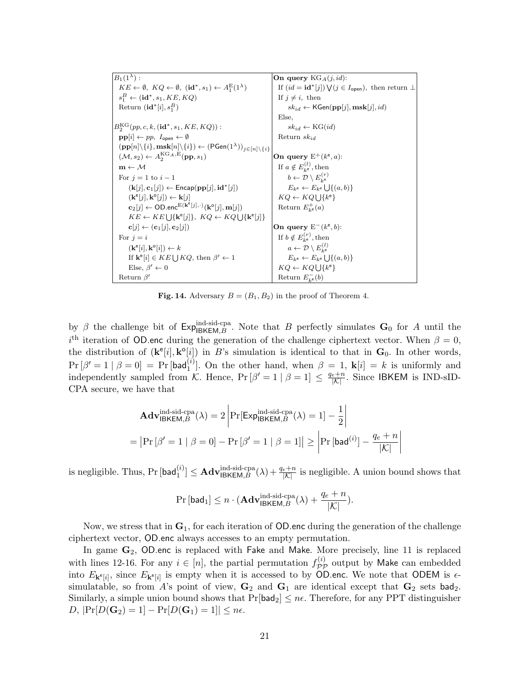$B_1(1^{\lambda})$ :  $\qquad \qquad \textbf{On query KG}_A(i, id):$  $KE \leftarrow \emptyset$ ,  $KQ \leftarrow \emptyset$ ,  $(\mathbf{id}^*, s_1) \leftarrow A_1^{\text{E}}$  $(1^{\lambda})$  If  $(id = id^{*}[j]) \bigvee (j \in I_{\text{open}})$ , then return  $\perp$  $s_1^B \leftarrow (\mathbf{id}^*, s_1, KE, KQ)$  If  $j \neq i$ , then Return  $(\mathbf{id}^*[i], s_1^B)$  $sk_{id} \leftarrow \mathsf{KGen}(\mathbf{pp}[j], \mathbf{msk}[j], id)$ Else,  $B_2^{\text{KG}}(pp, c, k, (\mathbf{id}^*, s_1, KE, KQ))$ : sk<sub>id</sub> ← KG(id)  $\mathbf{p}[\mathbf{i}] \leftarrow pp, I_{\text{open}} \leftarrow \emptyset$  Return  $sk_{id}$  $(\mathbf{pp}[n]\backslash\{i\}, \mathbf{msk}[n]\backslash\{i\}) \leftarrow (\mathsf{PGen}(1^{\lambda}))_{j \in [n] \backslash \{i\}}$  $(\mathcal{M}, s_2) \leftarrow A_2^{\text{KG}_A, \text{E}}(\text{pp}, s_1)$  On query E  $^+(k^e, a)$ :  $\mathbf{m} \leftarrow \mathcal{M}$  If  $a \notin E_{k^e}^{(l)}$ , then For  $j = 1$  to  $i - 1$  $_k^{\left(r\right)}$  $(k[j], c_1[j]) \leftarrow$  Encap $(pp[j], id^*[j])$ [j])  $E_{k^e} \leftarrow E_{k^e} \bigcup \{(a, b)\}$  $(\mathbf{k}^{\mathsf{e}}[j],\mathbf{k}^{\mathsf{o}})$  $[j] \leftarrow \mathbf{k}[j]$   $KQ \leftarrow KQ \cup \{k^e\}$  $\mathbf{c}_2[j] \leftarrow \mathsf{OD}.\mathsf{enc}^{\mathrm{E}(\mathbf{k}^\mathsf{e}[j],\cdot)}(\mathbf{k}^\mathsf{o})$ [j],  $\mathbf{m}[j]$  Return  $E_{k^e}^+(a)$  $KE \leftarrow KE \cup \{ \mathbf{k}^{\mathsf{e}}[j] \}, \ KQ \leftarrow KQ \cup \{ \mathbf{k}^{\mathsf{e}}[j] \}$  $c[j] \leftarrow (c_1[j], c_2[j])$  $^-(k^e, b)$ : For  $j = i$  $\binom{r}{k^e}$ , then  $(\mathbf{k}^{\mathsf{e}}[i],\mathbf{k}^{\mathsf{o}})$  $[i]) \leftarrow k$   $a \leftarrow \mathcal{D} \setminus E_{k^e}^{(l)}$ If  $\mathbf{k}^e[i] \in KE \bigcup KQ$ , then  $\beta$  $\ell \leftarrow 1$   $E_{k^e} \leftarrow E_{k^e} \bigcup \{(a, b)\}$ Else,  $\beta' \leftarrow 0$  $V \leftarrow 0$   $KQ \leftarrow KQ \cup \{k^e\}$ Return  $\beta'$  $\begin{array}{c|c} \hline \end{array}$  Return  $E_{k^e}^-(b)$ 

Fig. 14. Adversary  $B = (B_1, B_2)$  in the proof of Theorem 4.

by  $\beta$  the challenge bit of  $Exp_{IBKEM,B}^{ind-sid-cpa}$ . Note that B perfectly simulates  $G_0$  for A until the i<sup>th</sup> iteration of OD.enc during the generation of the challenge ciphertext vector. When  $\beta = 0$ , the distribution of  $(\mathbf{k}^{\mathsf{e}}[i], \mathbf{k}^{\mathsf{o}}[i])$  in B's simulation is identical to that in  $\mathbf{G}_0$ . In other words,  $Pr[\beta' = 1 | \beta = 0] = Pr[\text{bad}_1^{(i)}].$  On the other hand, when  $\beta = 1$ ,  $\mathbf{k}[i] = k$  is uniformly and independently sampled from K. Hence,  $Pr[\beta' = 1 | \beta = 1] \leq \frac{q_e + n}{|K|}$ . Since IBKEM is IND-sID-CPA secure, we have that

$$
\mathbf{Adv}_{\mathsf{IBKEM},B}^{\text{ind-sid-cpa}}(\lambda) = 2 \left| \Pr[\mathsf{Exp}_{\mathsf{IBKEM},B}^{\text{ind-sid-cpa}}(\lambda) = 1] - \frac{1}{2} \right|
$$

$$
= \left| \Pr\left[\beta' = 1 \mid \beta = 0\right] - \Pr\left[\beta' = 1 \mid \beta = 1\right] \right| \ge \left| \Pr\left[\mathsf{bad}^{(i)}\right] - \frac{q_e + n}{|\mathcal{K}|} \right|
$$

is negligible. Thus, Pr  $[\mathsf{bad}_1^{(i)}] \leq \mathbf{Adv}_{\mathsf{IBKEM},B}^{\mathrm{ind-sid-cpa}}(\lambda) + \frac{q_e+n}{|\mathcal{K}|}$  is negligible. A union bound shows that

$$
\Pr\left[\mathsf{bad}_1\right] \leq n \cdot (\mathbf{Adv}_{\mathsf{IBKEM},B}^{\mathrm{ind}\text{-} \mathrm{sid}\text{-} \mathrm{cpa}}(\lambda) + \frac{q_e + n}{|\mathcal{K}|}).
$$

Now, we stress that in  $\mathbf{G}_1$ , for each iteration of OD.enc during the generation of the challenge ciphertext vector, OD.enc always accesses to an empty permutation.

In game  $\mathbf{G}_2$ , OD.enc is replaced with Fake and Make. More precisely, line 11 is replaced with lines 12-16. For any  $i \in [n]$ , the partial permutation  $f_{\mathcal{PP}}^{(i)}$  output by Make can embedded into  $E_{\mathbf{k}^e[i]}$ , since  $E_{\mathbf{k}^e[i]}$  is empty when it is accessed to by OD.enc. We note that ODEM is  $\epsilon$ simulatable, so from A's point of view,  $\mathbf{G}_2$  and  $\mathbf{G}_1$  are identical except that  $\mathbf{G}_2$  sets bad<sub>2</sub>. Similarly, a simple union bound shows that  $Pr[bad_2] \leq n\epsilon$ . Therefore, for any PPT distinguisher  $D, |\Pr[D(\mathbf{G}_2)=1]-\Pr[D(\mathbf{G}_1)=1]| \leq n\epsilon.$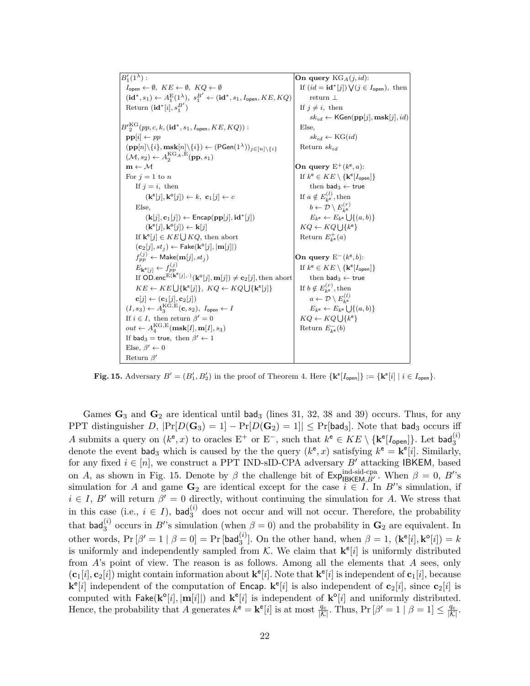$B_1'$ On query  $KG_A(i, id):$  $I_{open} \leftarrow \emptyset$ ,  $KE \leftarrow \emptyset$ ,  $KQ \leftarrow \emptyset$  $[j]$ )  $\bigvee (j \in I_{\text{open}})$ , then  $(\mathbf{id}^*, s_1) \leftarrow A_1^{\mathbf{E}}(1^{\lambda}), \ s_1^{B'} \leftarrow (\mathbf{id}^*, s_1, I_{\mathsf{open}}, KE, KQ)$  return  $\perp$ Return  $(\mathbf{id}^*[i], s_1^{B'}$ If  $j \neq i$ , then  $sk_{id} \leftarrow \mathsf{KGen}(\mathbf{pp}[j], \mathbf{msk}[j], id)$  $B'\substack{\text{KG}}{2}(pp, c, k, (\text{id}^*, s_1, I_{\text{open}}, KE, KQ))$ : Else,  $\mathbf{p}[\mathbf{i}] \leftarrow pp$  sk<sub>id</sub> ← KG(id)  $(\mathbf{pp}[n]\setminus\{i\},\mathbf{msk}[n]\setminus\{i\}) \leftarrow (\mathsf{PGen}(1^{\lambda}))_{j\in[n]\setminus\{i\}}$  Return  $sk_{id}$  $(\mathcal{M}, s_2) \leftarrow A_2^{\text{KG}_A, \text{E}}(\text{pp}, s_1)$  $\mathbf{m} \leftarrow \mathcal{M}$  On query  $\mathrm{E}^+(k^{\mathsf{e}}, a)$ : For  $j = 1$  to n  $e \in KE \setminus \{ \mathbf{k}^e[I_{\mathsf{open}}] \}$ If  $j = i$ , then  $\mathsf{bad}_3 \leftarrow \mathsf{true}$  $(\mathbf{k}^{\mathbf{e}}[j], \mathbf{k}^{\mathbf{o}}[j]) \leftarrow k, \ \mathbf{c}_1[j] \leftarrow c$  If  $a \notin E$  $\mathbf{h}_{k^{\mathsf{e}}}^{(l)}$ , then Else,  $b \leftarrow \mathcal{D} \setminus E_{k^e}^{(r)}$  $(k[j], \mathbf{c}_1[j]) \leftarrow$  Encap $(\mathbf{pp}[j], \mathbf{id}^*[j])$ [j])  $E_{k^e} \leftarrow E_{k^e} \bigcup \{(a, b)\}$  $(\mathbf{k}^{\mathsf{e}}[j],\mathbf{k}^{\mathsf{o}})$  $[j] \leftarrow \mathbf{k}[j]$   $KQ \leftarrow KQ \cup \{k^e\}$ If  $\mathbf{k}^{\mathsf{e}}[j] \in KE \bigcup KQ$ , then abort Return E  $\frac{1}{k^e}(a)$  $(c_2[j], st_j) \leftarrow \mathsf{Fake}(\mathbf{k}^\mathsf{o}[j], |\mathbf{m}[j]|)$  $f_{pp}^{(j)} \leftarrow {\sf Make}({\bf m}[j],st_j) \hspace{2cm} {\bm \O} {\bf n} \hspace{1mm} {\bm \textbf{query}} \hspace{1mm} {\bm \textbf{E}}$  $^-(k^e, b)$ :  $E_{\mathbf{k}^{\mathsf{e}}[j]} \leftarrow f_{pp}^{(j)}$  $\Pr_{pp}$  If k  $e \in KE \setminus {\bf \{k^e[I_{open}]\}}$ If  $\overrightarrow{OD}.\overrightarrow{enc^{E(k^{e}[j],\cdot)}}(k^{o}[j],m[j]) \neq c_{2}[j],$  then abort then  $\overrightarrow{bad_{3}} \leftarrow \overrightarrow{true}$  $KE \leftarrow KE \bigcup {\bf k}^e[j], KQ \leftarrow KQ \bigcup {\bf k}^e$ [j]} If  $b \notin E_{k^e}^{(r)}$ , then  $c[j] \leftarrow (c_1[j], c_2[j])$  a  $\leftarrow \mathcal{D} \setminus E$  $\frac{(l)}{k^{\mathsf{e}}}$  $(I, s_3) \leftarrow A_3^{\text{KG}, \text{E}}(\mathbf{c}, s_2), I_{\text{open}} \leftarrow I$   $E_{k^e} \leftarrow E_{k^e}$  $\bigcup \{(a, b)\}\$ If  $i\in I,$  then return  $\beta'=0$  $V = 0$   $KQ \leftarrow KQ \cup \{k^e\}$  $out \leftarrow A_4^{\text{KG},E}(\text{msk}[I], \text{m}[I], s_3)$  Return E  $\bar{k}$ <sup>e</sup> $(b)$ If bad<sub>3</sub> = true, then  $\beta' \leftarrow 1$ Else,  $\beta' \leftarrow 0$ Return  $\beta'$ 

**Fig. 15.** Adversary  $B' = (B'_1, B'_2)$  in the proof of Theorem 4. Here  $\{ \mathbf{k}^e[I_{open}] \} := \{ \mathbf{k}^e[i] \mid i \in I_{open} \}.$ 

Games  $\mathbf{G}_3$  and  $\mathbf{G}_2$  are identical until bad<sub>3</sub> (lines 31, 32, 38 and 39) occurs. Thus, for any PPT distinguisher D,  $|\Pr[D(\mathbf{G}_3) = 1] - \Pr[D(\mathbf{G}_2) = 1]| \leq \Pr[\mathsf{bad}_3]$ . Note that bad<sub>3</sub> occurs iff A submits a query on  $(k^e, x)$  to oracles  $E^+$  or  $E^-$ , such that  $k^e \in KE \setminus {\bf k}^e[I_{\text{open}}]$ . Let bad $_3^{(i)}$ denote the event bad<sub>3</sub> which is caused by the the query  $(k^e, x)$  satisfying  $k^e = \mathbf{k}^e[i]$ . Similarly, for any fixed  $i \in [n]$ , we construct a PPT IND-sID-CPA adversary B' attacking IBKEM, based on A, as shown in Fig. 15. Denote by  $\beta$  the challenge bit of  $Exp_{IBKEM,B'}^{ind-sid-cpa}$ . When  $\beta = 0$ , B''s simulation for A and game  $\mathbf{G}_2$  are identical except for the case  $i \in I$ . In B''s simulation, if  $i \in I$ , B' will return  $\beta' = 0$  directly, without continuing the simulation for A. We stress that in this case (i.e.,  $i \in I$ ), bad<sub>3</sub><sup>(i)</sup> does not occur and will not occur. Therefore, the probability that bad<sub>3</sub><sup>(i)</sup> occurs in B''s simulation (when  $\beta = 0$ ) and the probability in  $\mathbf{G}_2$  are equivalent. In other words,  $\Pr[\beta' = 1 \mid \beta = 0] = \Pr[\text{bad}_3^{(i)}]$ . On the other hand, when  $\beta = 1$ ,  $(\mathbf{k}^{\mathsf{e}}[i], \mathbf{k}^{\mathsf{o}}[i]) = k$ is uniformly and independently sampled from  $K$ . We claim that  $\mathbf{k}^{\mathsf{e}}[i]$  is uniformly distributed from A's point of view. The reason is as follows. Among all the elements that A sees, only  $(c_1[i], c_2[i])$  might contain information about  $\mathbf{k}^{\mathsf{e}}[i]$ . Note that  $\mathbf{k}^{\mathsf{e}}[i]$  is independent of  $c_1[i]$ , because  $\mathbf{k}^{\mathsf{e}}[i]$  independent of the computation of Encap.  $\mathbf{k}^{\mathsf{e}}[i]$  is also independent of  $\mathbf{c}_2[i]$ , since  $\mathbf{c}_2[i]$  is computed with  $\textsf{Fake}(\mathbf{k}^{\textsf{o}}[i], |\mathbf{m}[i]|)$  and  $\mathbf{k}^{\textsf{e}}[i]$  is independent of  $\mathbf{k}^{\textsf{o}}[i]$  and uniformly distributed. Hence, the probability that A generates  $k^e = \mathbf{k}^e[i]$  is at most  $\frac{q_e}{|\mathcal{K}|}$ . Thus,  $\Pr[\beta' = 1 | \beta = 1] \leq \frac{q_e}{|\mathcal{K}|}$ .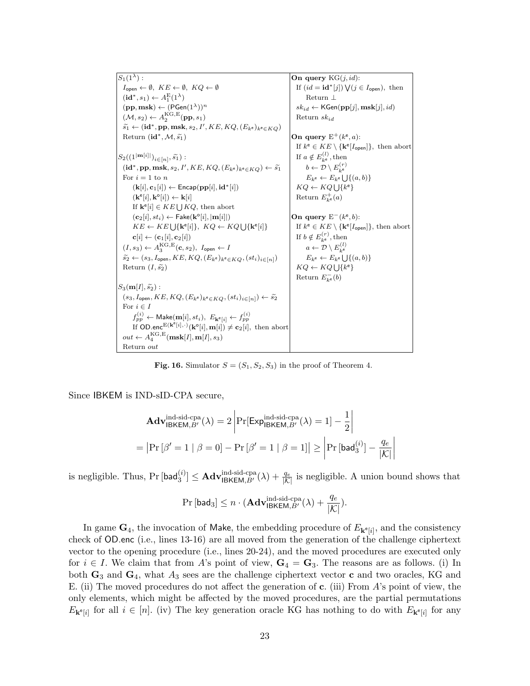$S_1(1^{\lambda})$ :  $\qquad \qquad \textbf{On query KG}(j, id):$  $I_{open} \leftarrow \emptyset$ ,  $KE \leftarrow \emptyset$ ,  $KQ \leftarrow \emptyset$  $[j]$ )  $\bigvee (j \in I_{\text{open}})$ , then  $(\mathbf{id}^*, s_1) \leftarrow A_1^{\mathrm{E}}$ Return  $\perp$  $(\mathbf{pp}, \mathbf{msk}) \leftarrow (\mathsf{PGen}(1^{\lambda}))^n$  sk<sub>id</sub> ← KGen $(\mathbf{pp}[j], \mathbf{msk}[j], id)$  $(\mathcal{M}, s_2) \leftarrow A_2^{\text{KG}, \text{E}}$ Return  $sk_{id}$  $\widetilde{s_1} \leftarrow (\mathbf{id}^*, \mathbf{pp}, \mathbf{msk}, s_2, I', KE, KQ, (E_{k^e})_{k^e \in KQ})$ Return (id<sup>\*</sup>,  $\mathcal{M}, \widetilde{s_1}$ )  $(\mathcal{M}, \widetilde{s}_1)$  **On query**  $E^+(k^e, a)$ : If  $k^e \in KE \setminus {\{\mathbf{k}^e[I_{\text{open}}]\}}$ , then abort  $S_2((1^{|{\mathbf{m}}[i]|})_{i \in [n]}$  $\begin{array}{lll} \left( \mathbf{1}^{|\mathbf{m}|i|} \right)_{i \in [n]}, \widetilde{s_1}) : \ \left( \mathbf{id}^*, \mathbf{pp}, \mathbf{msk}, s_2, I', KE, KQ, (E_{k^{\mathbf{e}}})_{k^{\mathbf{e}} \in KQ} \right) \leftarrow \widetilde{s_1} & b \leftarrow \mathcal{D} \setminus E \ \mathbf{F}_k & \mathbf{F}_k & \mathbf{F}_k & \mathbf{F}_k \end{array}$  $\mathbf{h}_{k^{\mathsf{e}}}^{(l)}$ , then  $_{k^{\mathsf{e}}}^{\left( r\right) }$ For  $i = 1$  to n  $\bigcup \{(a, b)\}\$  $(k[i], c_1[i]) \leftarrow$  Encap $(pp[i], id^*[i])$ [i])  $KQ \leftarrow KQ \cup \{k^e\}$  $(\mathbf{k}^{\mathsf{e}}[i],\mathbf{k}^{\mathsf{o}})$  $[i] \leftarrow \mathbf{k}[i]$  Return  $E_{k^e}^+(a)$ If  $\mathbf{k}^e[i] \in KE \bigcup KQ$ , then abort  $(c_2[i], st_i) \leftarrow \mathsf{Fake}(\mathbf{k}^{\mathsf{o}})$  $[i], |m[i]|$   $\qquad \qquad$   $\qquad$   $\qquad$   $\qquad$   $\qquad$   $\qquad$   $\qquad$   $\qquad$   $\qquad$   $\qquad$   $\qquad$   $\qquad$   $\qquad$   $\qquad$   $\qquad$   $\qquad$   $\qquad$   $\qquad$   $\qquad$   $\qquad$   $\qquad$   $\qquad$   $\qquad$   $\qquad$   $\qquad$   $\qquad$   $\qquad$   $\qquad$   $\qquad$   $\qquad$   $\qquad$   $\qquad$   $\qquad$   $\qquad$   $\qquad$  $KE \leftarrow KE \bigcup {\bf k}^e[i], KQ \leftarrow KQ \bigcup {\bf k}^e$ [i]} If  $k^e \in KE \setminus {\bf k}^e[I_{open}]\},\$  then abort  $c[i] \leftarrow (c_1[i], c_2[i])$  $\mathbf{r}_k^{(r)}$ , then  $(I, s_3) \leftarrow A_3^{\text{KG}, \text{E}}(\mathbf{c}, s_2), I_{\text{open}} \leftarrow I$   $a \leftarrow \mathcal{D} \setminus E$  $\frac{(l)}{k^{\mathsf{e}}}$  $\widetilde{s_2} \leftarrow (s_3, I_{\mathsf{open}}, KE, KQ, (E_{k^e})_{k^e \in KQ}, (st_i)_{i \in [n]})$  $\Big)$   $E_{k^e} \leftarrow E_{k^e} \bigcup \{(a, b)\}$ Return  $(I, \widetilde{s_2})$  $\{k^e\}$ Return  $E_{k^e}^-(b)$  $S_3(m[I], \widetilde{s_2})$  :  $(s_3, I_{\text{open}}, KE, KQ, (E_{k^e})_{k^e \in KQ}, (st_i)_{i \in [n]}) \leftarrow \widetilde{s_2}$ For  $i \in I$  $f_{pp}^{(i)} \leftarrow \mathsf{Make}(\mathbf{m}[i], st_i), \ E_{\mathbf{k}^e[i]} \leftarrow f_{pp}^{(i)}$ <br>If OD.enc<sup>E( $\mathbf{k}^e[i], \cdot$ )( $\mathbf{k}^o[i], \mathbf{m}[i] \right) \neq \mathbf{c}_2[i]$ , then abort</sup>  $out \leftarrow A_4^{\text{KG},\text{E}}(\textbf{msk}[I],\textbf{m}[I],s_3)$ Return out

Fig. 16. Simulator  $S = (S_1, S_2, S_3)$  in the proof of Theorem 4.

Since IBKEM is IND-sID-CPA secure,

$$
\mathbf{Adv}_{\mathsf{IBKEM},B'}^{\mathrm{ind-sid-cpa}}(\lambda) = 2 \left| \Pr[\mathsf{Exp}_{\mathsf{IBKEM},B'}^{\mathrm{ind-sid-cpa}}(\lambda) = 1] - \frac{1}{2} \right|
$$
  
= 
$$
|\Pr[\beta' = 1 | \beta = 0] - \Pr[\beta' = 1 | \beta = 1]| \geq |\Pr[\mathsf{bad}_3^{(i)}] - \frac{q_e}{|\mathcal{K}|}]
$$

is negligible. Thus,  $Pr[\text{bad}_3^{(i)}] \leq \text{Adv}_{\text{IBKEM},B'}^{\text{ind-sid-cpa}}(\lambda) + \frac{q_e}{|\mathcal{K}|}$  is negligible. A union bound shows that

$$
\Pr\left[\mathsf{bad}_3\right] \leq n \cdot (\mathbf{Adv}_{\mathsf{IBKEM},B'}^{\mathrm{ind}\text{-} \mathrm{sid}\text{-} \mathrm{cpa}}(\lambda) + \frac{q_e}{|\mathcal{K}|}).
$$

In game  $\mathbf{G}_4$ , the invocation of Make, the embedding procedure of  $E_{\mathbf{k}^e[i]}$ , and the consistency check of OD.enc (i.e., lines 13-16) are all moved from the generation of the challenge ciphertext vector to the opening procedure (i.e., lines 20-24), and the moved procedures are executed only for  $i \in I$ . We claim that from A's point of view,  $G_4 = G_3$ . The reasons are as follows. (i) In both  $\mathbf{G}_3$  and  $\mathbf{G}_4$ , what  $A_3$  sees are the challenge ciphertext vector c and two oracles, KG and E. (ii) The moved procedures do not affect the generation of  $\mathbf{c}$ . (iii) From A's point of view, the only elements, which might be affected by the moved procedures, are the partial permutations  $E_{\mathbf{k}^{\mathbf{e}}[i]}$  for all  $i \in [n]$ . (iv) The key generation oracle KG has nothing to do with  $E_{\mathbf{k}^{\mathbf{e}}[i]}$  for any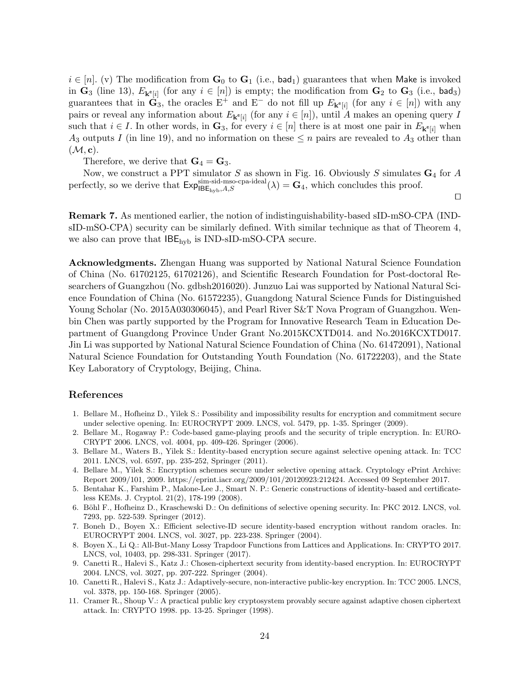$i \in [n]$ . (v) The modification from  $G_0$  to  $G_1$  (i.e., bad<sub>1</sub>) guarantees that when Make is invoked in  $\mathbf{G}_3$  (line 13),  $E_{\mathbf{k}^e[i]}$  (for any  $i \in [n]$ ) is empty; the modification from  $\mathbf{G}_2$  to  $\mathbf{G}_3$  (i.e., bad<sub>3</sub>) guarantees that in  $\dot{G}_3$ , the oracles  $E^+$  and  $E^-$  do not fill up  $E_{\mathbf{k}^e[i]}$  (for any  $i \in [n]$ ) with any pairs or reveal any information about  $E_{\mathbf{k}^e[i]}$  (for any  $i \in [n]$ ), until A makes an opening query I such that  $i \in I$ . In other words, in  $\mathbf{G}_3$ , for every  $i \in [n]$  there is at most one pair in  $E_{\mathbf{k}^e[i]}$  when  $A_3$  outputs I (in line 19), and no information on these  $\leq n$  pairs are revealed to  $A_3$  other than  $(\mathcal{M}, \mathbf{c}).$ 

Therefore, we derive that  $G_4 = G_3$ .

Now, we construct a PPT simulator S as shown in Fig. 16. Obviously S simulates  $\mathbf{G}_4$  for A perfectly, so we derive that  $\mathsf{Exp}_{\mathsf{IBE}_{\mathrm{hyb}},A,S}^{\mathrm{sim-sid-mso-cpa-ideal}}(\lambda) = \mathbf{G}_4$ , which concludes this proof.

 $\Box$ 

Remark 7. As mentioned earlier, the notion of indistinguishability-based sID-mSO-CPA (INDsID-mSO-CPA) security can be similarly defined. With similar technique as that of Theorem 4, we also can prove that  $\text{IBE}_{\text{hvb}}$  is IND-sID-mSO-CPA secure.

Acknowledgments. Zhengan Huang was supported by National Natural Science Foundation of China (No. 61702125, 61702126), and Scientific Research Foundation for Post-doctoral Researchers of Guangzhou (No. gdbsh2016020). Junzuo Lai was supported by National Natural Science Foundation of China (No. 61572235), Guangdong Natural Science Funds for Distinguished Young Scholar (No. 2015A030306045), and Pearl River S&T Nova Program of Guangzhou. Wenbin Chen was partly supported by the Program for Innovative Research Team in Education Department of Guangdong Province Under Grant No.2015KCXTD014. and No.2016KCXTD017. Jin Li was supported by National Natural Science Foundation of China (No. 61472091), National Natural Science Foundation for Outstanding Youth Foundation (No. 61722203), and the State Key Laboratory of Cryptology, Beijing, China.

# References

- 1. Bellare M., Hofheinz D., Yilek S.: Possibility and impossibility results for encryption and commitment secure under selective opening. In: EUROCRYPT 2009. LNCS, vol. 5479, pp. 1-35. Springer (2009).
- 2. Bellare M., Rogaway P.: Code-based game-playing proofs and the security of triple encryption. In: EURO-CRYPT 2006. LNCS, vol. 4004, pp. 409-426. Springer (2006).
- 3. Bellare M., Waters B., Yilek S.: Identity-based encryption secure against selective opening attack. In: TCC 2011. LNCS, vol. 6597, pp. 235-252, Springer (2011).
- 4. Bellare M., Yilek S.: Encryption schemes secure under selective opening attack. Cryptology ePrint Archive: Report 2009/101, 2009. https://eprint.iacr.org/2009/101/20120923:212424. Accessed 09 September 2017.
- 5. Bentahar K., Farshim P., Malone-Lee J., Smart N. P.: Generic constructions of identity-based and certificateless KEMs. J. Cryptol. 21(2), 178-199 (2008).
- 6. Böhl F., Hofheinz D., Kraschewski D.: On definitions of selective opening security. In: PKC 2012. LNCS, vol. 7293, pp. 522-539. Springer (2012).
- 7. Boneh D., Boyen X.: Efficient selective-ID secure identity-based encryption without random oracles. In: EUROCRYPT 2004. LNCS, vol. 3027, pp. 223-238. Springer (2004).
- 8. Boyen X., Li Q.: All-But-Many Lossy Trapdoor Functions from Lattices and Applications. In: CRYPTO 2017. LNCS, vol, 10403, pp. 298-331. Springer (2017).
- 9. Canetti R., Halevi S., Katz J.: Chosen-ciphertext security from identity-based encryption. In: EUROCRYPT 2004. LNCS, vol. 3027, pp. 207-222. Springer (2004).
- 10. Canetti R., Halevi S., Katz J.: Adaptively-secure, non-interactive public-key encryption. In: TCC 2005. LNCS, vol. 3378, pp. 150-168. Springer (2005).
- 11. Cramer R., Shoup V.: A practical public key cryptosystem provably secure against adaptive chosen ciphertext attack. In: CRYPTO 1998. pp. 13-25. Springer (1998).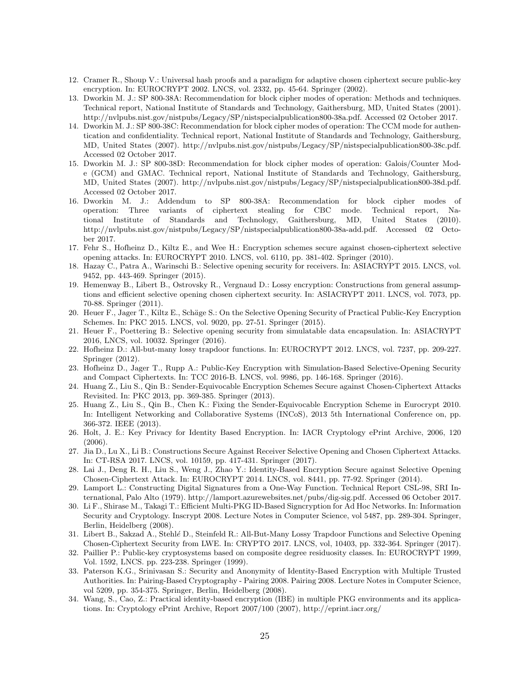- 12. Cramer R., Shoup V.: Universal hash proofs and a paradigm for adaptive chosen ciphertext secure public-key encryption. In: EUROCRYPT 2002. LNCS, vol. 2332, pp. 45-64. Springer (2002).
- 13. Dworkin M. J.: SP 800-38A: Recommendation for block cipher modes of operation: Methods and techniques. Technical report, National Institute of Standards and Technology, Gaithersburg, MD, United States (2001). http://nvlpubs.nist.gov/nistpubs/Legacy/SP/nistspecialpublication800-38a.pdf. Accessed 02 October 2017.
- 14. Dworkin M. J.: SP 800-38C: Recommendation for block cipher modes of operation: The CCM mode for authentication and confidentiality. Technical report, National Institute of Standards and Technology, Gaithersburg, MD, United States (2007). http://nvlpubs.nist.gov/nistpubs/Legacy/SP/nistspecialpublication800-38c.pdf. Accessed 02 October 2017.
- 15. Dworkin M. J.: SP 800-38D: Recommendation for block cipher modes of operation: Galois/Counter Mode (GCM) and GMAC. Technical report, National Institute of Standards and Technology, Gaithersburg, MD, United States (2007). http://nvlpubs.nist.gov/nistpubs/Legacy/SP/nistspecialpublication800-38d.pdf. Accessed 02 October 2017.
- 16. Dworkin M. J.: Addendum to SP 800-38A: Recommendation for block cipher modes of operation: Three variants of ciphertext stealing for CBC mode. Technical report, National Institute of Standards and Technology, Gaithersburg, MD, United States (2010). http://nvlpubs.nist.gov/nistpubs/Legacy/SP/nistspecialpublication800-38a-add.pdf. Accessed 02 October 2017.
- 17. Fehr S., Hofheinz D., Kiltz E., and Wee H.: Encryption schemes secure against chosen-ciphertext selective opening attacks. In: EUROCRYPT 2010. LNCS, vol. 6110, pp. 381-402. Springer (2010).
- 18. Hazay C., Patra A., Warinschi B.: Selective opening security for receivers. In: ASIACRYPT 2015. LNCS, vol. 9452, pp. 443-469. Springer (2015).
- 19. Hemenway B., Libert B., Ostrovsky R., Vergnaud D.: Lossy encryption: Constructions from general assumptions and efficient selective opening chosen ciphertext security. In: ASIACRYPT 2011. LNCS, vol. 7073, pp. 70-88. Springer (2011).
- 20. Heuer F., Jager T., Kiltz E., Schäge S.: On the Selective Opening Security of Practical Public-Key Encryption Schemes. In: PKC 2015. LNCS, vol. 9020, pp. 27-51. Springer (2015).
- 21. Heuer F., Poettering B.: Selective opening security from simulatable data encapsulation. In: ASIACRYPT 2016, LNCS, vol. 10032. Springer (2016).
- 22. Hofheinz D.: All-but-many lossy trapdoor functions. In: EUROCRYPT 2012. LNCS, vol. 7237, pp. 209-227. Springer (2012).
- 23. Hofheinz D., Jager T., Rupp A.: Public-Key Encryption with Simulation-Based Selective-Opening Security and Compact Ciphertexts. In: TCC 2016-B. LNCS, vol. 9986, pp. 146-168. Springer (2016).
- 24. Huang Z., Liu S., Qin B.: Sender-Equivocable Encryption Schemes Secure against Chosen-Ciphertext Attacks Revisited. In: PKC 2013, pp. 369-385. Springer (2013).
- 25. Huang Z., Liu S., Qin B., Chen K.: Fixing the Sender-Equivocable Encryption Scheme in Eurocrypt 2010. In: Intelligent Networking and Collaborative Systems (INCoS), 2013 5th International Conference on, pp. 366-372. IEEE (2013).
- 26. Holt, J. E.: Key Privacy for Identity Based Encryption. In: IACR Cryptology ePrint Archive, 2006, 120 (2006).
- 27. Jia D., Lu X., Li B.: Constructions Secure Against Receiver Selective Opening and Chosen Ciphertext Attacks. In: CT-RSA 2017. LNCS, vol. 10159, pp. 417-431. Springer (2017).
- 28. Lai J., Deng R. H., Liu S., Weng J., Zhao Y.: Identity-Based Encryption Secure against Selective Opening Chosen-Ciphertext Attack. In: EUROCRYPT 2014. LNCS, vol. 8441, pp. 77-92. Springer (2014).
- 29. Lamport L.: Constructing Digital Signatures from a One-Way Function. Technical Report CSL-98, SRI International, Palo Alto (1979). http://lamport.azurewebsites.net/pubs/dig-sig.pdf. Accessed 06 October 2017.
- 30. Li F., Shirase M., Takagi T.: Efficient Multi-PKG ID-Based Signcryption for Ad Hoc Networks. In: Information Security and Cryptology. Inscrypt 2008. Lecture Notes in Computer Science, vol 5487, pp. 289-304. Springer, Berlin, Heidelberg (2008).
- 31. Libert B., Sakzad A., Stehl´e D., Steinfeld R.: All-But-Many Lossy Trapdoor Functions and Selective Opening Chosen-Ciphertext Security from LWE. In: CRYPTO 2017. LNCS, vol, 10403, pp. 332-364. Springer (2017).
- 32. Paillier P.: Public-key cryptosystems based on composite degree residuosity classes. In: EUROCRYPT 1999, Vol. 1592, LNCS. pp. 223-238. Springer (1999).
- 33. Paterson K.G., Srinivasan S.: Security and Anonymity of Identity-Based Encryption with Multiple Trusted Authorities. In: Pairing-Based Cryptography - Pairing 2008. Pairing 2008. Lecture Notes in Computer Science, vol 5209, pp. 354-375. Springer, Berlin, Heidelberg (2008).
- 34. Wang, S., Cao, Z.: Practical identity-based encryption (IBE) in multiple PKG environments and its applications. In: Cryptology ePrint Archive, Report 2007/100 (2007), http://eprint.iacr.org/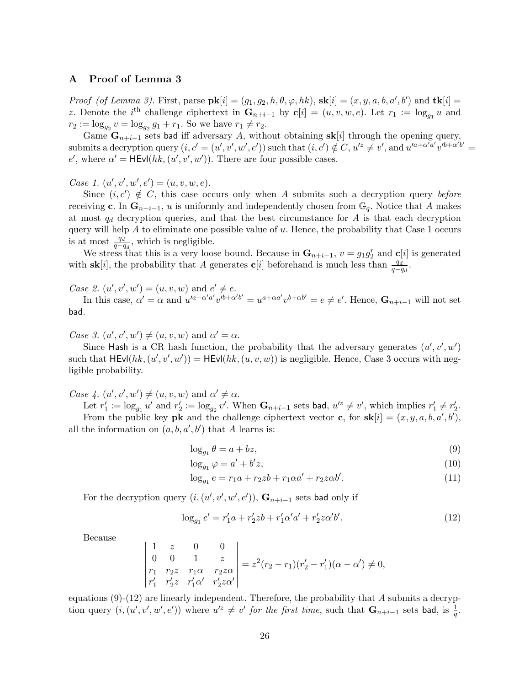## A Proof of Lemma 3

Proof (of Lemma 3). First, parse  $\mathbf{pk}[i] = (g_1, g_2, h, \theta, \varphi, hk), \, \mathbf{sk}[i] = (x, y, a, b, a', b')$  and  $\mathbf{tk}[i] =$ z. Denote the *i*<sup>th</sup> challenge ciphertext in  $\mathbf{G}_{n+i-1}$  by  $\mathbf{c}[i] = (u, v, w, e)$ . Let  $r_1 := \log_{g_1} u$  and  $r_2 := \log_{g_2} v = \log_{g_2} g_1 + r_1$ . So we have  $r_1 \neq r_2$ .

Game  $\mathbf{G}_{n+i-1}$  sets bad iff adversary A, without obtaining sk[i] through the opening query, submits a decryption query  $(i, c' = (u', v', w', e'))$  such that  $(i, c') \notin C$ ,  $u'^{z} \neq v'$ , and  $u'^{a+\alpha' a'} v'^{b+\alpha' b'} =$ e', where  $\alpha' = \text{HEvl}(hk, (u', v', w'))$ . There are four possible cases.

Case 1.  $(u', v', w', e') = (u, v, w, e).$ 

Since  $(i, c') \notin C$ , this case occurs only when A submits such a decryption query before receiving c. In  $\mathbf{G}_{n+i-1}$ , u is uniformly and independently chosen from  $\mathbb{G}_q$ . Notice that A makes at most  $q_d$  decryption queries, and that the best circumstance for A is that each decryption query will help  $A$  to eliminate one possible value of  $u$ . Hence, the probability that Case 1 occurs is at most  $\frac{qa}{q-q_d}$ , which is negligible.

We stress that this is a very loose bound. Because in  $\mathbf{G}_{n+i-1}$ ,  $v = g_1 g_2^r$  and  $\mathbf{c}[i]$  is generated with sk[i], the probability that A generates **c**[i] beforehand is much less than  $\frac{q_d}{q-q_d}$ .

Case 2.  $(u', v', w') = (u, v, w)$  and  $e' \neq e$ .

In this case,  $\alpha' = \alpha$  and  $u'^{a+\alpha' a'} v'^{b+\alpha' b'} = u^{a+\alpha a'} v^{b+\alpha b'} = e \neq e'$ . Hence,  $\mathbf{G}_{n+i-1}$  will not set bad.

Case 3.  $(u', v', w') \neq (u, v, w)$  and  $\alpha' = \alpha$ .

Since Hash is a CR hash function, the probability that the adversary generates  $(u', v', w')$ such that  $\text{HEvl}(hk, (u', v', w')) = \text{HEvl}(hk, (u, v, w))$  is negligible. Hence, Case 3 occurs with negligible probability.

Case 4.  $(u', v', w') \neq (u, v, w)$  and  $\alpha' \neq \alpha$ .

Let  $r'_1 := \log_{g_1} u'$  and  $r'_2 := \log_{g_2} v'$ . When  $\mathbf{G}_{n+i-1}$  sets bad,  $u'^z \neq v'$ , which implies  $r'_1 \neq r'_2$ . From the public key **pk** and the challenge ciphertext vector **c**, for  $\mathbf{sk}[i] = (x, y, a, b, a', b')$ , all the information on  $(a, b, a', b')$  that A learns is:

$$
\log_{g_1} \theta = a + bz,\tag{9}
$$

$$
\log_{g_1} \varphi = a' + b'z,\tag{10}
$$

$$
\log_{g_1} e = r_1 a + r_2 z b + r_1 \alpha a' + r_2 z \alpha b'. \tag{11}
$$

For the decryption query  $(i, (u', v', w', e')),$   $\mathbf{G}_{n+i-1}$  sets bad only if

$$
\log_{g_1} e' = r'_1 a + r'_2 z b + r'_1 \alpha' a' + r'_2 z \alpha' b'. \tag{12}
$$

Because

$$
\begin{vmatrix} 1 & z & 0 & 0 \ 0 & 0 & 1 & z \ r_1 & r_2z & r_1\alpha & r_2z\alpha \ r'_1 & r'_2z & r'_1\alpha' & r'_2z\alpha' \ \end{vmatrix} = z^2(r_2 - r_1)(r'_2 - r'_1)(\alpha - \alpha') \neq 0,
$$

equations  $(9)-(12)$  are linearly independent. Therefore, the probability that A submits a decryption query  $(i, (u', v', w', e'))$  where  $u'^z \neq v'$  for the first time, such that  $\mathbf{G}_{n+i-1}$  sets bad, is  $\frac{1}{q}$ .